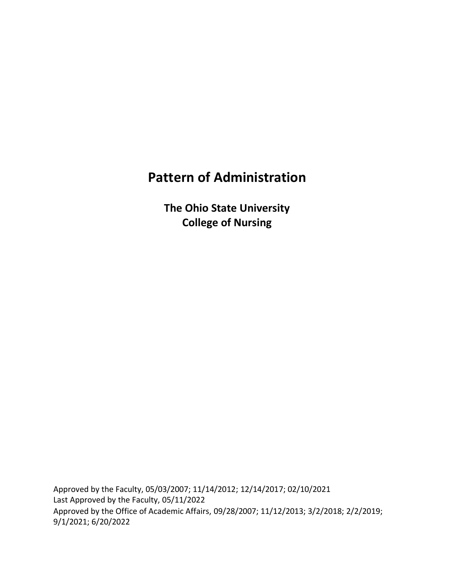# **Pattern of Administration**

**The Ohio State University College of Nursing**

Approved by the Faculty, 05/03/2007; 11/14/2012; 12/14/2017; 02/10/2021 Last Approved by the Faculty, 05/11/2022 Approved by the Office of Academic Affairs, 09/28/2007; 11/12/2013; 3/2/2018; 2/2/2019; 9/1/2021; 6/20/2022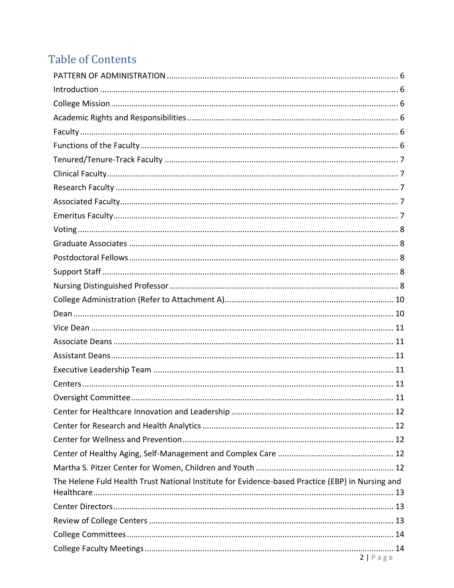# **Table of Contents**

| The Helene Fuld Health Trust National Institute for Evidence-based Practice (EBP) in Nursing and |  |
|--------------------------------------------------------------------------------------------------|--|
|                                                                                                  |  |
|                                                                                                  |  |
|                                                                                                  |  |
| 2 Page                                                                                           |  |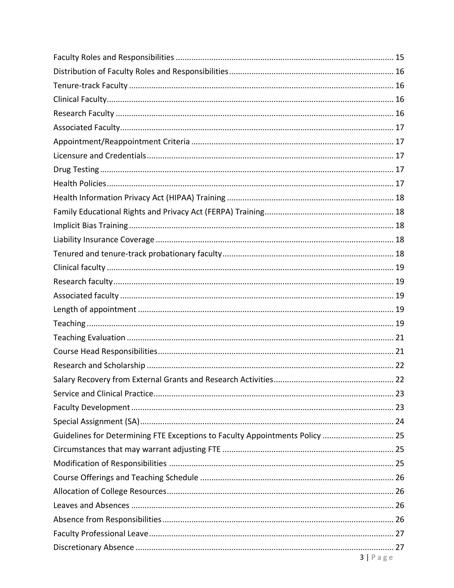| Guidelines for Determining FTE Exceptions to Faculty Appointments Policy  25 |          |
|------------------------------------------------------------------------------|----------|
|                                                                              |          |
|                                                                              |          |
|                                                                              |          |
|                                                                              |          |
|                                                                              |          |
|                                                                              |          |
|                                                                              |          |
|                                                                              |          |
|                                                                              | 3   Page |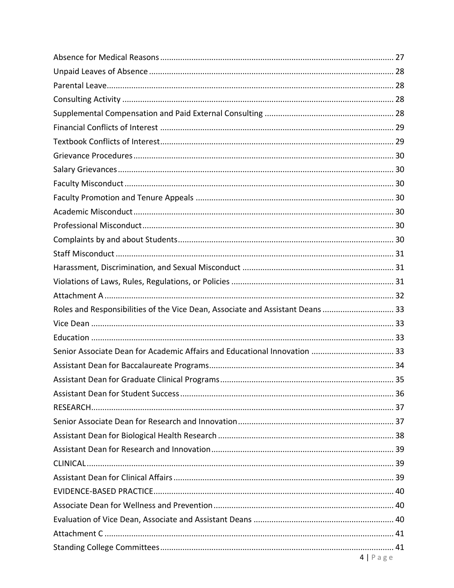| Roles and Responsibilities of the Vice Dean, Associate and Assistant Deans  33 |  |
|--------------------------------------------------------------------------------|--|
|                                                                                |  |
|                                                                                |  |
| Senior Associate Dean for Academic Affairs and Educational Innovation  33      |  |
|                                                                                |  |
|                                                                                |  |
|                                                                                |  |
|                                                                                |  |
|                                                                                |  |
|                                                                                |  |
|                                                                                |  |
|                                                                                |  |
|                                                                                |  |
|                                                                                |  |
|                                                                                |  |
|                                                                                |  |
|                                                                                |  |
| 4   Page                                                                       |  |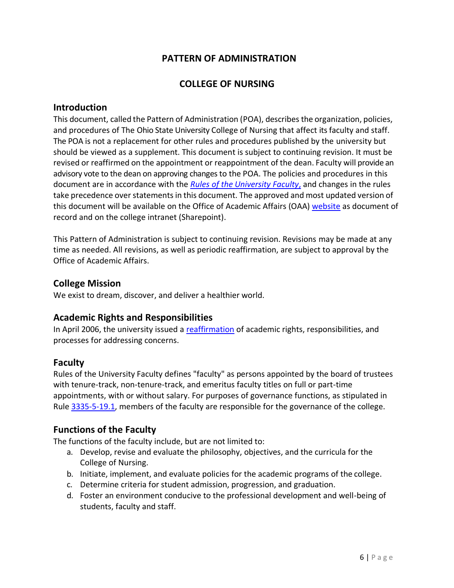## **PATTERN OF ADMINISTRATION**

## **COLLEGE OF NURSING**

#### <span id="page-5-1"></span><span id="page-5-0"></span>**Introduction**

This document, called the Pattern of Administration (POA), describes the organization, policies, and procedures of The Ohio State University College of Nursing that affect its faculty and staff. The POA is not a replacement for other rules and procedures published by the university but should be viewed as a supplement. This document is subject to continuing revision. It must be revised or reaffirmed on the appointment or reappointment of the dean. Faculty will provide an advisory vote to the dean on approving changes to the POA. The policies and procedures in this document are in accordance with the *[Rules of the University Faculty](https://trustees.osu.edu/bylaws-and-rules/university-faculty-rules)*, and changes in the rules take precedence over statements in this document. The approved and most updated version of this document will be available on the Office of Academic Affairs (OAA) [website](https://oaa.osu.edu/appointments-reappointments-promotion-and-tenure) as document of record and on the college intranet (Sharepoint).

This Pattern of Administration is subject to continuing revision. Revisions may be made at any time as needed. All revisions, as well as periodic reaffirmation, are subject to approval by the Office of Academic Affairs.

#### <span id="page-5-2"></span>**College Mission**

We exist to dream, discover, and deliver a healthier world.

## <span id="page-5-3"></span>**Academic Rights and Responsibilities**

In April 2006, the university issued a [reaffirmation](https://oaa.osu.edu/rightsandresponsibilities.html) of academic rights, responsibilities, and processes for addressing concerns.

#### <span id="page-5-4"></span>**Faculty**

Rules of the University Faculty defines "faculty" as persons appointed by the board of trustees with tenure-track, non-tenure-track, and emeritus faculty titles on full or part-time appointments, with or without salary. For purposes of governance functions, as stipulated in Rule [3335-5-19.1,](https://trustees.osu.edu/rules/university-rules/chapter-3335-5-faculty-governance-and-committees.html) members of the faculty are responsible for the governance of the college.

## <span id="page-5-5"></span>**Functions of the Faculty**

The functions of the faculty include, but are not limited to:

- a. Develop, revise and evaluate the philosophy, objectives, and the curricula for the College of Nursing.
- b. Initiate, implement, and evaluate policies for the academic programs of the college.
- c. Determine criteria for student admission, progression, and graduation.
- d. Foster an environment conducive to the professional development and well-being of students, faculty and staff.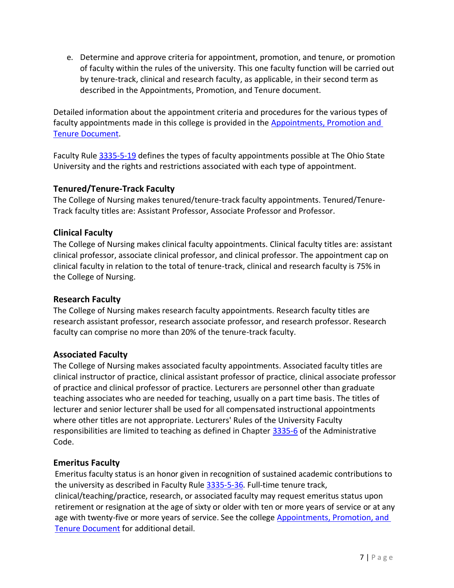e. Determine and approve criteria for appointment, promotion, and tenure, or promotion of faculty within the rules of the university. This one faculty function will be carried out by tenure-track, clinical and research faculty, as applicable, in their second term as described in the Appointments, Promotion, and Tenure document.

Detailed information about the appointment criteria and procedures for the various types of faculty appointments made in this college is provided in the [Appointments, Promotion and](https://oaa.osu.edu/appointments-reappointments-promotion-and-tenure)  [Tenure Document.](https://oaa.osu.edu/appointments-reappointments-promotion-and-tenure)

Faculty Rule [3335-5-19](https://trustees.osu.edu/rules/university-rules/chapter-3335-5-faculty-governance-and-committees.html) defines the types of faculty appointments possible at The Ohio State University and the rights and restrictions associated with each type of appointment.

## <span id="page-6-0"></span>**Tenured/Tenure-Track Faculty**

The College of Nursing makes tenured/tenure-track faculty appointments. Tenured/Tenure-Track faculty titles are: Assistant Professor, Associate Professor and Professor.

## <span id="page-6-1"></span>**Clinical Faculty**

The College of Nursing makes clinical faculty appointments. Clinical faculty titles are: assistant clinical professor, associate clinical professor, and clinical professor. The appointment cap on clinical faculty in relation to the total of tenure-track, clinical and research faculty is 75% in the College of Nursing.

#### <span id="page-6-2"></span>**Research Faculty**

The College of Nursing makes research faculty appointments. Research faculty titles are research assistant professor, research associate professor, and research professor. Research faculty can comprise no more than 20% of the tenure-track faculty.

#### <span id="page-6-3"></span>**Associated Faculty**

The College of Nursing makes associated faculty appointments. Associated faculty titles are clinical instructor of practice, clinical assistant professor of practice, clinical associate professor of practice and clinical professor of practice. Lecturers are personnel other than graduate teaching associates who are needed for teaching, usually on a part time basis. The titles of lecturer and senior lecturer shall be used for all compensated instructional appointments where other titles are not appropriate. Lecturers' Rules of the University Faculty responsibilities are limited to teaching as defined in Chapter [3335-6](https://trustees.osu.edu/rules/university-rules/chapter-3335-6-rules-of-the-university-faculty-concerning-faculty-appointments-reappointments-promotion-and-tenure.html) of the Administrative Code.

#### <span id="page-6-4"></span>**Emeritus Faculty**

Emeritus faculty status is an honor given in recognition of sustained academic contributions to the university as described in Faculty Rule [3335-5-36.](https://trustees.osu.edu/university-faculty-rules/3335-5) Full-time tenure track, clinical/teaching/practice, research, or associated faculty may request emeritus status upon retirement or resignation at the age of sixty or older with ten or more years of service or at any age with twenty-five or more years of service. See the college Appointments, Promotion, and [Tenure Document](https://oaa.osu.edu/appointments-reappointments-promotion-and-tenure) for additional detail.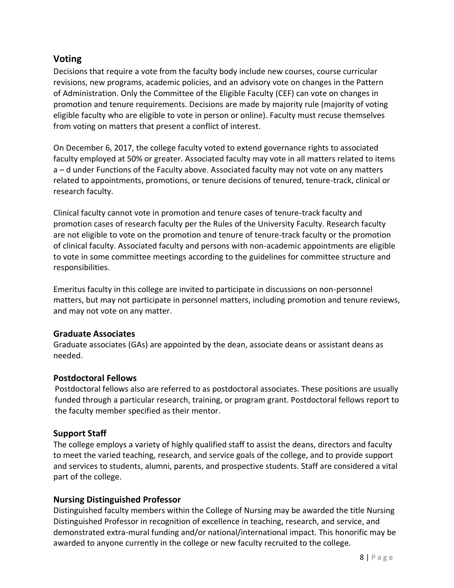## <span id="page-7-0"></span>**Voting**

Decisions that require a vote from the faculty body include new courses, course curricular revisions, new programs, academic policies, and an advisory vote on changes in the Pattern of Administration. Only the Committee of the Eligible Faculty (CEF) can vote on changes in promotion and tenure requirements. Decisions are made by majority rule (majority of voting eligible faculty who are eligible to vote in person or online). Faculty must recuse themselves from voting on matters that present a conflict of interest.

On December 6, 2017, the college faculty voted to extend governance rights to associated faculty employed at 50% or greater. Associated faculty may vote in all matters related to items a – d under Functions of the Faculty above. Associated faculty may not vote on any matters related to appointments, promotions, or tenure decisions of tenured, tenure-track, clinical or research faculty.

Clinical faculty cannot vote in promotion and tenure cases of tenure-track faculty and promotion cases of research faculty per the Rules of the University Faculty. Research faculty are not eligible to vote on the promotion and tenure of tenure-track faculty or the promotion of clinical faculty. Associated faculty and persons with non-academic appointments are eligible to vote in some committee meetings according to the guidelines for committee structure and responsibilities.

Emeritus faculty in this college are invited to participate in discussions on non-personnel matters, but may not participate in personnel matters, including promotion and tenure reviews, and may not vote on any matter.

#### <span id="page-7-1"></span>**Graduate Associates**

Graduate associates (GAs) are appointed by the dean, associate deans or assistant deans as needed.

## <span id="page-7-2"></span>**Postdoctoral Fellows**

Postdoctoral fellows also are referred to as postdoctoral associates. These positions are usually funded through a particular research, training, or program grant. Postdoctoral fellows report to the faculty member specified as their mentor.

## <span id="page-7-3"></span>**Support Staff**

The college employs a variety of highly qualified staff to assist the deans, directors and faculty to meet the varied teaching, research, and service goals of the college, and to provide support and services to students, alumni, parents, and prospective students. Staff are considered a vital part of the college.

## <span id="page-7-4"></span>**Nursing Distinguished Professor**

Distinguished faculty members within the College of Nursing may be awarded the title Nursing Distinguished Professor in recognition of excellence in teaching, research, and service, and demonstrated extra-mural funding and/or national/international impact. This honorific may be awarded to anyone currently in the college or new faculty recruited to the college.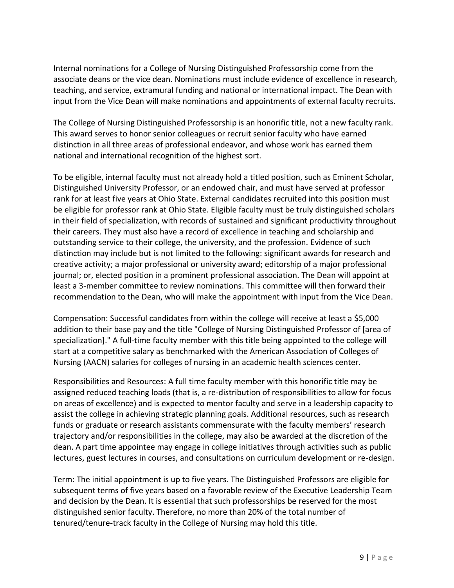Internal nominations for a College of Nursing Distinguished Professorship come from the associate deans or the vice dean. Nominations must include evidence of excellence in research, teaching, and service, extramural funding and national or international impact. The Dean with input from the Vice Dean will make nominations and appointments of external faculty recruits.

The College of Nursing Distinguished Professorship is an honorific title, not a new faculty rank. This award serves to honor senior colleagues or recruit senior faculty who have earned distinction in all three areas of professional endeavor, and whose work has earned them national and international recognition of the highest sort.

To be eligible, internal faculty must not already hold a titled position, such as Eminent Scholar, Distinguished University Professor, or an endowed chair, and must have served at professor rank for at least five years at Ohio State. External candidates recruited into this position must be eligible for professor rank at Ohio State. Eligible faculty must be truly distinguished scholars in their field of specialization, with records of sustained and significant productivity throughout their careers. They must also have a record of excellence in teaching and scholarship and outstanding service to their college, the university, and the profession. Evidence of such distinction may include but is not limited to the following: significant awards for research and creative activity; a major professional or university award; editorship of a major professional journal; or, elected position in a prominent professional association. The Dean will appoint at least a 3-member committee to review nominations. This committee will then forward their recommendation to the Dean, who will make the appointment with input from the Vice Dean.

Compensation: Successful candidates from within the college will receive at least a \$5,000 addition to their base pay and the title "College of Nursing Distinguished Professor of [area of specialization]." A full-time faculty member with this title being appointed to the college will start at a competitive salary as benchmarked with the American Association of Colleges of Nursing (AACN) salaries for colleges of nursing in an academic health sciences center.

Responsibilities and Resources: A full time faculty member with this honorific title may be assigned reduced teaching loads (that is, a re-distribution of responsibilities to allow for focus on areas of excellence) and is expected to mentor faculty and serve in a leadership capacity to assist the college in achieving strategic planning goals. Additional resources, such as research funds or graduate or research assistants commensurate with the faculty members' research trajectory and/or responsibilities in the college, may also be awarded at the discretion of the dean. A part time appointee may engage in college initiatives through activities such as public lectures, guest lectures in courses, and consultations on curriculum development or re-design.

Term: The initial appointment is up to five years. The Distinguished Professors are eligible for subsequent terms of five years based on a favorable review of the Executive Leadership Team and decision by the Dean. It is essential that such professorships be reserved for the most distinguished senior faculty. Therefore, no more than 20% of the total number of tenured/tenure-track faculty in the College of Nursing may hold this title.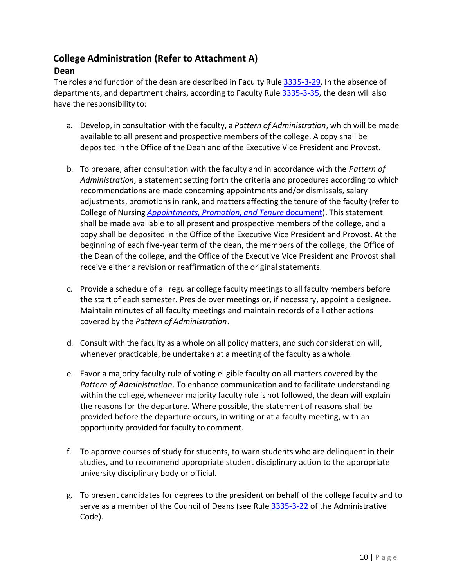## <span id="page-9-0"></span>**College Administration (Refer to Attachment A)**

## <span id="page-9-1"></span>**Dean**

The roles and function of the dean are described in Faculty Rule [3335-3-29.](https://trustees.osu.edu/rules/university-rules/chapter-3335-3-administration.html) In the absence of departments, and department chairs, according to Faculty Rule [3335-3-35,](https://trustees.osu.edu/rules/university-rules/chapter-3335-3-administration.html) the dean will also have the responsibility to:

- a. Develop, in consultation with the faculty, a *Pattern of Administration*, which will be made available to all present and prospective members of the college. A copy shall be deposited in the Office of the Dean and of the Executive Vice President and Provost.
- b. To prepare, after consultation with the faculty and in accordance with the *Pattern of Administration*, a statement setting forth the criteria and procedures according to which recommendations are made concerning appointments and/or dismissals, salary adjustments, promotions in rank, and matters affecting the tenure of the faculty (refer to College of Nursing *[Appointments,](https://oaa.osu.edu/appointments-reappointments-promotion-and-tenure) Promotion, and Tenure* document). Thisstatement shall be made available to all present and prospective members of the college, and a copy shall be deposited in the Office of the Executive Vice President and Provost. At the beginning of each five-year term of the dean, the members of the college, the Office of the Dean of the college, and the Office of the Executive Vice President and Provost shall receive either a revision or reaffirmation of the original statements.
- c. Provide a schedule of allregular college faculty meetingsto all faculty members before the start of each semester. Preside over meetings or, if necessary, appoint a designee. Maintain minutes of all faculty meetings and maintain records of all other actions covered by the *Pattern of Administration*.
- d. Consult with the faculty as a whole on all policy matters, and such consideration will, whenever practicable, be undertaken at a meeting of the faculty as a whole.
- e. Favor a majority faculty rule of voting eligible faculty on all matters covered by the *Pattern of Administration*. To enhance communication and to facilitate understanding within the college, whenever majority faculty rule is not followed, the dean will explain the reasons for the departure. Where possible, the statement of reasons shall be provided before the departure occurs, in writing or at a faculty meeting, with an opportunity provided for faculty to comment.
- f. To approve courses of study for students, to warn students who are delinquent in their studies, and to recommend appropriate student disciplinary action to the appropriate university disciplinary body or official.
- g. To present candidates for degrees to the president on behalf of the college faculty and to serve as a member of the Council of Deans (see Rule [3335-3-22](https://trustees.osu.edu/rules/university-rules/chapter-3335-3-administration.html) of the Administrative Code).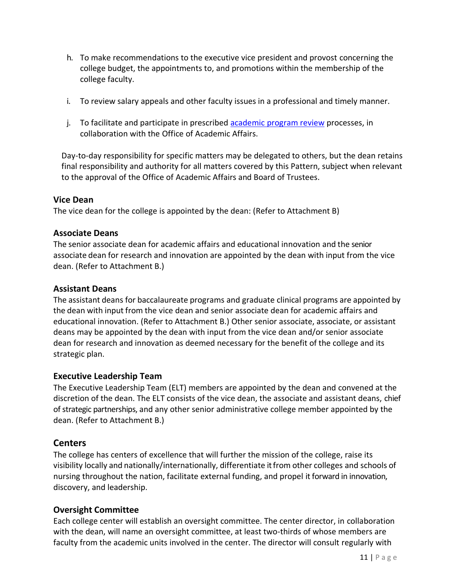- h. To make recommendations to the executive vice president and provost concerning the college budget, the appointments to, and promotions within the membership of the college faculty.
- i. To review salary appeals and other faculty issues in a professional and timely manner.
- j. To facilitate and participate in prescribed [academic program review](https://oaa.osu.edu/strategic-planning/academic-unit-review) processes, in collaboration with the Office of Academic Affairs.

Day-to-day responsibility for specific matters may be delegated to others, but the dean retains final responsibility and authority for all matters covered by this Pattern, subject when relevant to the approval of the Office of Academic Affairs and Board of Trustees.

## <span id="page-10-0"></span>**Vice Dean**

The vice dean for the college is appointed by the dean: (Refer to Attachment B)

## <span id="page-10-1"></span>**Associate Deans**

The senior associate dean for academic affairs and educational innovation and the senior associate dean for research and innovation are appointed by the dean with input from the vice dean. (Refer to Attachment B.)

## <span id="page-10-2"></span>**Assistant Deans**

The assistant deans for baccalaureate programs and graduate clinical programs are appointed by the dean with input from the vice dean and senior associate dean for academic affairs and educational innovation. (Refer to Attachment B.) Other senior associate, associate, or assistant deans may be appointed by the dean with input from the vice dean and/or senior associate dean for research and innovation as deemed necessary for the benefit of the college and its strategic plan.

#### <span id="page-10-3"></span>**Executive Leadership Team**

The Executive Leadership Team (ELT) members are appointed by the dean and convened at the discretion of the dean. The ELT consists of the vice dean, the associate and assistant deans, chief of strategic partnerships, and any other senior administrative college member appointed by the dean. (Refer to Attachment B.)

## <span id="page-10-4"></span>**Centers**

The college has centers of excellence that will further the mission of the college, raise its visibility locally and nationally/internationally, differentiate itfrom other colleges and schools of nursing throughout the nation, facilitate external funding, and propel it forward in innovation, discovery, and leadership.

## <span id="page-10-5"></span>**Oversight Committee**

Each college center will establish an oversight committee. The center director, in collaboration with the dean, will name an oversight committee, at least two-thirds of whose members are faculty from the academic units involved in the center. The director will consult regularly with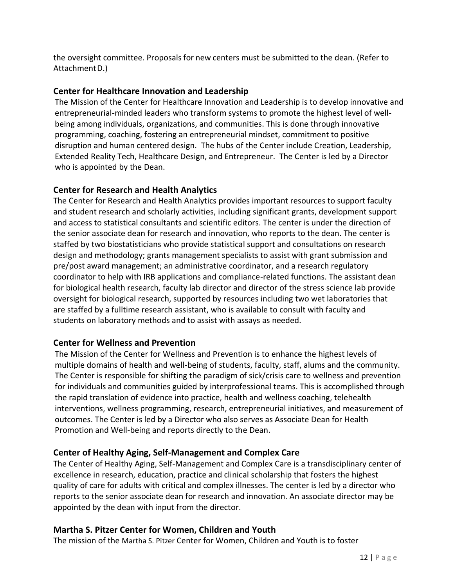the oversight committee. Proposals for new centers must be submitted to the dean. (Refer to AttachmentD.)

## <span id="page-11-0"></span>**Center for Healthcare Innovation and Leadership**

The Mission of the Center for Healthcare Innovation and Leadership is to develop innovative and entrepreneurial-minded leaders who transform systems to promote the highest level of wellbeing among individuals, organizations, and communities. This is done through innovative programming, coaching, fostering an entrepreneurial mindset, commitment to positive disruption and human centered design. The hubs of the Center include Creation, Leadership, Extended Reality Tech, Healthcare Design, and Entrepreneur. The Center is led by a Director who is appointed by the Dean.

## <span id="page-11-1"></span>**Center for Research and Health Analytics**

The Center for Research and Health Analytics provides important resources to support faculty and student research and scholarly activities, including significant grants, development support and access to statistical consultants and scientific editors. The center is under the direction of the senior associate dean for research and innovation, who reports to the dean. The center is staffed by two biostatisticians who provide statistical support and consultations on research design and methodology; grants management specialists to assist with grant submission and pre/post award management; an administrative coordinator, and a research regulatory coordinator to help with IRB applications and compliance-related functions. The assistant dean for biological health research, faculty lab director and director of the stress science lab provide oversight for biological research, supported by resources including two wet laboratories that are staffed by a fulltime research assistant, who is available to consult with faculty and students on laboratory methods and to assist with assays as needed.

#### <span id="page-11-2"></span>**Center for Wellness and Prevention**

The Mission of the Center for Wellness and Prevention is to enhance the highest levels of multiple domains of health and well-being of students, faculty, staff, alums and the community. The Center is responsible for shifting the paradigm of sick/crisis care to wellness and prevention for individuals and communities guided by interprofessional teams. This is accomplished through the rapid translation of evidence into practice, health and wellness coaching, telehealth interventions, wellness programming, research, entrepreneurial initiatives, and measurement of outcomes. The Center is led by a Director who also serves as Associate Dean for Health Promotion and Well-being and reports directly to the Dean.

#### <span id="page-11-3"></span>**Center of Healthy Aging, Self-Management and Complex Care**

The Center of Healthy Aging, Self-Management and Complex Care is a transdisciplinary center of excellence in research, education, practice and clinical scholarship that fosters the highest quality of care for adults with critical and complex illnesses. The center is led by a director who reports to the senior associate dean for research and innovation. An associate director may be appointed by the dean with input from the director.

## <span id="page-11-4"></span>**Martha S. Pitzer Center for Women, Children and Youth**

The mission of the Martha S. Pitzer Center for Women, Children and Youth is to foster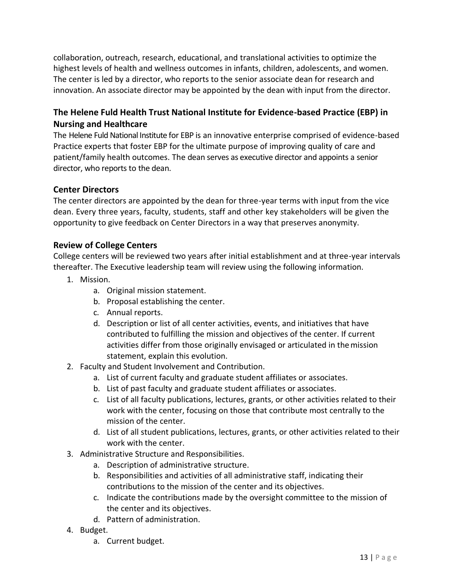collaboration, outreach, research, educational, and translational activities to optimize the highest levels of health and wellness outcomes in infants, children, adolescents, and women. The center is led by a director, who reports to the senior associate dean for research and innovation. An associate director may be appointed by the dean with input from the director.

## <span id="page-12-0"></span>**The Helene Fuld Health Trust National Institute for Evidence-based Practice (EBP) in Nursing and Healthcare**

The Helene Fuld National Institute for EBP is an innovative enterprise comprised of evidence-based Practice experts that foster EBP for the ultimate purpose of improving quality of care and patient/family health outcomes. The dean serves as executive director and appoints a senior director, who reports to the dean.

#### <span id="page-12-1"></span>**Center Directors**

The center directors are appointed by the dean for three-year terms with input from the vice dean. Every three years, faculty, students, staff and other key stakeholders will be given the opportunity to give feedback on Center Directors in a way that preserves anonymity.

#### <span id="page-12-2"></span>**Review of College Centers**

College centers will be reviewed two years after initial establishment and at three-year intervals thereafter. The Executive leadership team will review using the following information.

- 1. Mission.
	- a. Original mission statement.
	- b. Proposal establishing the center.
	- c. Annual reports.
	- d. Description or list of all center activities, events, and initiatives that have contributed to fulfilling the mission and objectives of the center. If current activities differ from those originally envisaged or articulated in themission statement, explain this evolution.
- 2. Faculty and Student Involvement and Contribution.
	- a. List of current faculty and graduate student affiliates or associates.
	- b. List of past faculty and graduate student affiliates or associates.
	- c. List of all faculty publications, lectures, grants, or other activities related to their work with the center, focusing on those that contribute most centrally to the mission of the center.
	- d. List of all student publications, lectures, grants, or other activities related to their work with the center.
- 3. Administrative Structure and Responsibilities.
	- a. Description of administrative structure.
	- b. Responsibilities and activities of all administrative staff, indicating their contributions to the mission of the center and its objectives.
	- c. Indicate the contributions made by the oversight committee to the mission of the center and its objectives.
	- d. Pattern of administration.
- 4. Budget.
	- a. Current budget.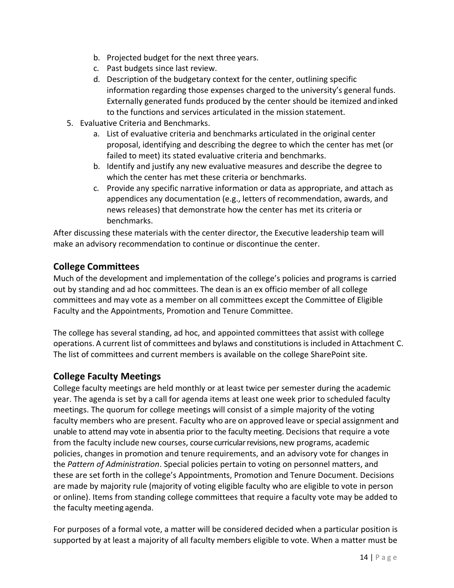- b. Projected budget for the next three years.
- c. Past budgets since last review.
- d. Description of the budgetary context for the center, outlining specific information regarding those expenses charged to the university's general funds. Externally generated funds produced by the center should be itemized andinked to the functions and services articulated in the mission statement.
- 5. Evaluative Criteria and Benchmarks.
	- a. List of evaluative criteria and benchmarks articulated in the original center proposal, identifying and describing the degree to which the center has met (or failed to meet) its stated evaluative criteria and benchmarks.
	- b. Identify and justify any new evaluative measures and describe the degree to which the center has met these criteria or benchmarks.
	- c. Provide any specific narrative information or data as appropriate, and attach as appendices any documentation (e.g., letters of recommendation, awards, and news releases) that demonstrate how the center has met its criteria or benchmarks.

After discussing these materials with the center director, the Executive leadership team will make an advisory recommendation to continue or discontinue the center.

## <span id="page-13-0"></span>**College Committees**

Much of the development and implementation of the college's policies and programs is carried out by standing and ad hoc committees. The dean is an ex officio member of all college committees and may vote as a member on all committees except the Committee of Eligible Faculty and the Appointments, Promotion and Tenure Committee.

The college has several standing, ad hoc, and appointed committees that assist with college operations. A current list of committees and bylaws and constitutions is included in Attachment C. The list of committees and current members is available on the college SharePoint site.

## <span id="page-13-1"></span>**College Faculty Meetings**

College faculty meetings are held monthly or at least twice per semester during the academic year. The agenda is set by a call for agenda items at least one week prior to scheduled faculty meetings. The quorum for college meetings will consist of a simple majority of the voting faculty members who are present. Faculty who are on approved leave or special assignment and unable to attend may vote in absentia prior to the faculty meeting. Decisions that require a vote from the faculty include new courses, course curricular revisions, new programs, academic policies, changes in promotion and tenure requirements, and an advisory vote for changes in the *Pattern of Administration*. Special policies pertain to voting on personnel matters, and these are set forth in the college's Appointments, Promotion and Tenure Document. Decisions are made by majority rule (majority of voting eligible faculty who are eligible to vote in person or online). Items from standing college committees that require a faculty vote may be added to the faculty meeting agenda.

For purposes of a formal vote, a matter will be considered decided when a particular position is supported by at least a majority of all faculty members eligible to vote. When a matter must be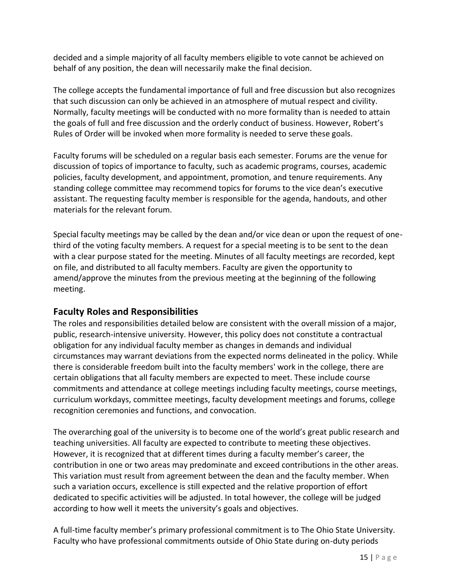decided and a simple majority of all faculty members eligible to vote cannot be achieved on behalf of any position, the dean will necessarily make the final decision.

The college accepts the fundamental importance of full and free discussion but also recognizes that such discussion can only be achieved in an atmosphere of mutual respect and civility. Normally, faculty meetings will be conducted with no more formality than is needed to attain the goals of full and free discussion and the orderly conduct of business. However, Robert's Rules of Order will be invoked when more formality is needed to serve these goals.

Faculty forums will be scheduled on a regular basis each semester. Forums are the venue for discussion of topics of importance to faculty, such as academic programs, courses, academic policies, faculty development, and appointment, promotion, and tenure requirements. Any standing college committee may recommend topics for forums to the vice dean's executive assistant. The requesting faculty member is responsible for the agenda, handouts, and other materials for the relevant forum.

Special faculty meetings may be called by the dean and/or vice dean or upon the request of onethird of the voting faculty members. A request for a special meeting is to be sent to the dean with a clear purpose stated for the meeting. Minutes of all faculty meetings are recorded, kept on file, and distributed to all faculty members. Faculty are given the opportunity to amend/approve the minutes from the previous meeting at the beginning of the following meeting.

## <span id="page-14-0"></span>**Faculty Roles and Responsibilities**

The roles and responsibilities detailed below are consistent with the overall mission of a major, public, research-intensive university. However, this policy does not constitute a contractual obligation for any individual faculty member as changes in demands and individual circumstances may warrant deviations from the expected norms delineated in the policy. While there is considerable freedom built into the faculty members' work in the college, there are certain obligations that all faculty members are expected to meet. These include course commitments and attendance at college meetings including faculty meetings, course meetings, curriculum workdays, committee meetings, faculty development meetings and forums, college recognition ceremonies and functions, and convocation.

The overarching goal of the university is to become one of the world's great public research and teaching universities. All faculty are expected to contribute to meeting these objectives. However, it is recognized that at different times during a faculty member's career, the contribution in one or two areas may predominate and exceed contributions in the other areas. This variation must result from agreement between the dean and the faculty member. When such a variation occurs, excellence is still expected and the relative proportion of effort dedicated to specific activities will be adjusted. In total however, the college will be judged according to how well it meets the university's goals and objectives.

A full-time faculty member's primary professional commitment is to The Ohio State University. Faculty who have professional commitments outside of Ohio State during on-duty periods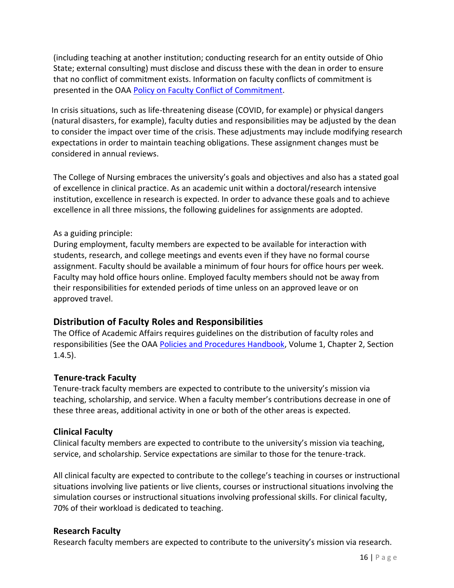(including teaching at another institution; conducting research for an entity outside of Ohio State; external consulting) must disclose and discuss these with the dean in order to ensure that no conflict of commitment exists. Information on faculty conflicts of commitment is presented in the OAA [Policy on Faculty Conflict of Commitment.](https://oaa.osu.edu/assets/files/documents/conflictofcommitment.pdf)

In crisis situations, such as life-threatening disease (COVID, for example) or physical dangers (natural disasters, for example), faculty duties and responsibilities may be adjusted by the dean to consider the impact over time of the crisis. These adjustments may include modifying research expectations in order to maintain teaching obligations. These assignment changes must be considered in annual reviews.

The College of Nursing embraces the university's goals and objectives and also has a stated goal of excellence in clinical practice. As an academic unit within a doctoral/research intensive institution, excellence in research is expected. In order to advance these goals and to achieve excellence in all three missions, the following guidelines for assignments are adopted.

#### As a guiding principle:

During employment, faculty members are expected to be available for interaction with students, research, and college meetings and events even if they have no formal course assignment. Faculty should be available a minimum of four hours for office hours per week. Faculty may hold office hours online. Employed faculty members should not be away from their responsibilities for extended periods of time unless on an approved leave or on approved travel.

## <span id="page-15-0"></span>**Distribution of Faculty Roles and Responsibilities**

The Office of Academic Affairs requires guidelines on the distribution of faculty roles and responsibilities (See the OAA [Policies and Procedures Handbook,](https://oaa.osu.edu/policies-and-procedures-handbook) Volume 1, Chapter 2, Section 1.4.5).

## <span id="page-15-1"></span>**Tenure-track Faculty**

Tenure-track faculty members are expected to contribute to the university's mission via teaching, scholarship, and service. When a faculty member's contributions decrease in one of these three areas, additional activity in one or both of the other areas is expected.

## <span id="page-15-2"></span>**Clinical Faculty**

Clinical faculty members are expected to contribute to the university's mission via teaching, service, and scholarship. Service expectations are similar to those for the tenure-track.

All clinical faculty are expected to contribute to the college's teaching in courses or instructional situations involving live patients or live clients, courses or instructional situations involving the simulation courses or instructional situations involving professional skills. For clinical faculty, 70% of their workload is dedicated to teaching.

## <span id="page-15-3"></span>**Research Faculty**

Research faculty members are expected to contribute to the university's mission via research.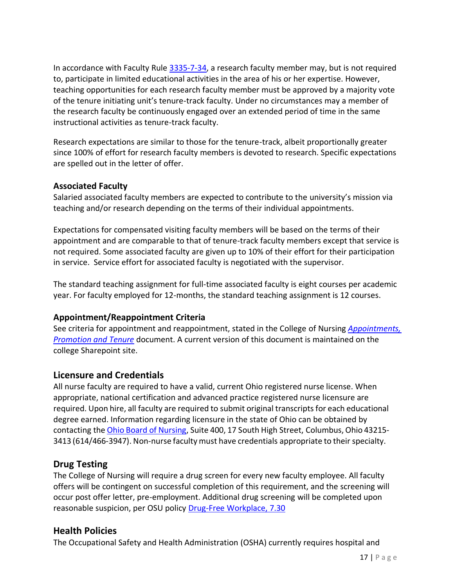In accordance with Faculty Rule [3335-7-34,](https://trustees.osu.edu/rules/university-rules/chapter-3335-7-rules-of-the-university-faculty-concerning-clinical-faculty-appointment-reappointment-and-nonreappointment-and-promotion.html) a research faculty member may, but is not required to, participate in limited educational activities in the area of his or her expertise. However, teaching opportunities for each research faculty member must be approved by a majority vote of the tenure initiating unit's tenure-track faculty. Under no circumstances may a member of the research faculty be continuously engaged over an extended period of time in the same instructional activities as tenure-track faculty.

Research expectations are similar to those for the tenure-track, albeit proportionally greater since 100% of effort for research faculty members is devoted to research. Specific expectations are spelled out in the letter of offer.

## <span id="page-16-0"></span>**Associated Faculty**

Salaried associated faculty members are expected to contribute to the university's mission via teaching and/or research depending on the terms of their individual appointments.

Expectations for compensated visiting faculty members will be based on the terms of their appointment and are comparable to that of tenure-track faculty members except that service is not required. Some associated faculty are given up to 10% of their effort for their participation in service. Service effort for associated faculty is negotiated with the supervisor.

The standard teaching assignment for full-time associated faculty is eight courses per academic year. For faculty employed for 12-months, the standard teaching assignment is 12 courses.

## <span id="page-16-1"></span>**Appointment/Reappointment Criteria**

See criteria for appointment and reappointment, stated in the College of Nursing *[Appointments,](https://oaa.osu.edu/appointments-reappointments-promotion-and-tenure)  [Promotion and Tenure](https://oaa.osu.edu/appointments-reappointments-promotion-and-tenure)* document. A current version of this document is maintained on the college Sharepoint site.

## <span id="page-16-2"></span>**Licensure and Credentials**

All nurse faculty are required to have a valid, current Ohio registered nurse license. When appropriate, national certification and advanced practice registered nurse licensure are required. Upon hire, all faculty are required to submit original transcripts for each educational degree earned. Information regarding licensure in the state of Ohio can be obtained by contacting the Ohio Board of [Nursing,](https://nursing.ohio.gov/) Suite 400, 17 South High Street, Columbus, Ohio 43215- 3413 (614/466-3947). Non-nurse faculty must have credentials appropriate to their specialty.

## <span id="page-16-3"></span>**Drug Testing**

The College of Nursing will require a drug screen for every new faculty employee. All faculty offers will be contingent on successful completion of this requirement, and the screening will occur post offer letter, pre-employment. Additional drug screening will be completed upon reasonable suspicion, per OSU policy [Drug-Free Workplace, 7.30](https://hr.osu.edu/wp-content/uploads/policy730.pdf)

## <span id="page-16-4"></span>**Health Policies**

The Occupational Safety and Health Administration (OSHA) currently requires hospital and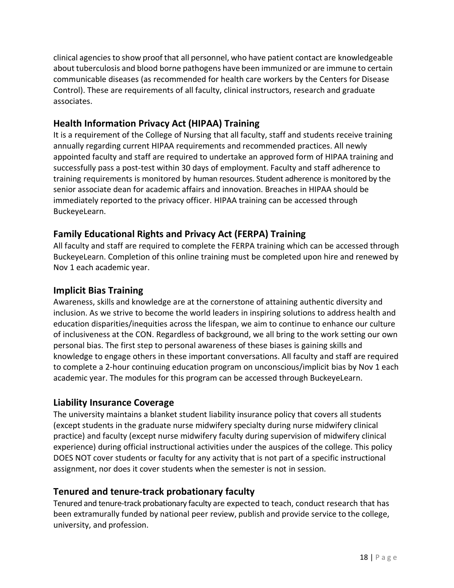clinical agencies to show proof that all personnel, who have patient contact are knowledgeable about tuberculosis and blood borne pathogens have been immunized or are immune to certain communicable diseases (as recommended for health care workers by the Centers for Disease Control). These are requirements of all faculty, clinical instructors, research and graduate associates.

## <span id="page-17-0"></span>**Health Information Privacy Act (HIPAA) Training**

It is a requirement of the College of Nursing that all faculty, staff and students receive training annually regarding current HIPAA requirements and recommended practices. All newly appointed faculty and staff are required to undertake an approved form of HIPAA training and successfully pass a post-test within 30 days of employment. Faculty and staff adherence to training requirements is monitored by human resources. Student adherence is monitored by the senior associate dean for academic affairs and innovation. Breaches in HIPAA should be immediately reported to the privacy officer. HIPAA training can be accessed through BuckeyeLearn.

## <span id="page-17-1"></span>**Family Educational Rights and Privacy Act (FERPA) Training**

All faculty and staff are required to complete the FERPA training which can be accessed through BuckeyeLearn. Completion of this online training must be completed upon hire and renewed by Nov 1 each academic year.

## <span id="page-17-2"></span>**Implicit Bias Training**

Awareness, skills and knowledge are at the cornerstone of attaining authentic diversity and inclusion. As we strive to become the world leaders in inspiring solutions to address health and education disparities/inequities across the lifespan, we aim to continue to enhance our culture of inclusiveness at the CON. Regardless of background, we all bring to the work setting our own personal bias. The first step to personal awareness of these biases is gaining skills and knowledge to engage others in these important conversations. All faculty and staff are required to complete a 2-hour continuing education program on unconscious/implicit bias by Nov 1 each academic year. The modules for this program can be accessed through BuckeyeLearn.

## <span id="page-17-3"></span>**Liability Insurance Coverage**

The university maintains a blanket student liability insurance policy that covers all students (except students in the graduate nurse midwifery specialty during nurse midwifery clinical practice) and faculty (except nurse midwifery faculty during supervision of midwifery clinical experience) during official instructional activities under the auspices of the college. This policy DOES NOT cover students or faculty for any activity that is not part of a specific instructional assignment, nor does it cover students when the semester is not in session.

## <span id="page-17-4"></span>**Tenured and tenure-track probationary faculty**

Tenured and tenure-track probationary faculty are expected to teach, conduct research that has been extramurally funded by national peer review, publish and provide service to the college, university, and profession.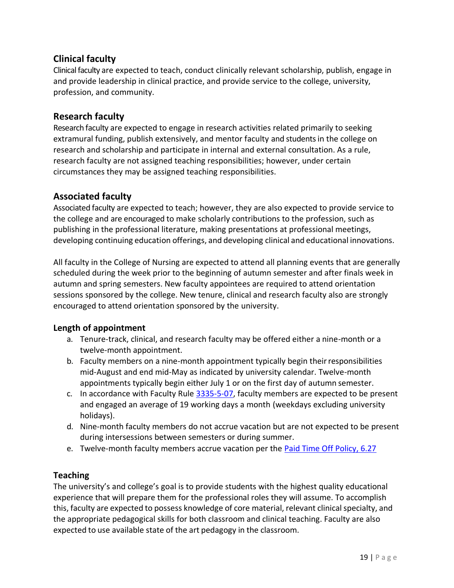## <span id="page-18-0"></span>**Clinical faculty**

Clinical faculty are expected to teach, conduct clinically relevant scholarship, publish, engage in and provide leadership in clinical practice, and provide service to the college, university, profession, and community.

## <span id="page-18-1"></span>**Research faculty**

Research faculty are expected to engage in research activities related primarily to seeking extramural funding, publish extensively, and mentor faculty and students in the college on research and scholarship and participate in internal and external consultation. As a rule, research faculty are not assigned teaching responsibilities; however, under certain circumstances they may be assigned teaching responsibilities.

## <span id="page-18-2"></span>**Associated faculty**

Associated faculty are expected to teach; however, they are also expected to provide service to the college and are encouraged to make scholarly contributions to the profession, such as publishing in the professional literature, making presentations at professional meetings, developing continuing education offerings, and developing clinical and educational innovations.

All faculty in the College of Nursing are expected to attend all planning events that are generally scheduled during the week prior to the beginning of autumn semester and after finals week in autumn and spring semesters. New faculty appointees are required to attend orientation sessions sponsored by the college. New tenure, clinical and research faculty also are strongly encouraged to attend orientation sponsored by the university.

#### <span id="page-18-3"></span>**Length of appointment**

- a. Tenure-track, clinical, and research faculty may be offered either a nine-month or a twelve-month appointment.
- b. Faculty members on a nine-month appointment typically begin theirresponsibilities mid-August and end mid-May as indicated by university calendar. Twelve-month appointments typically begin either July 1 or on the first day of autumn semester.
- c. In accordance with Faculty Rule [3335-5-07,](https://trustees.osu.edu/rules/university-rules/chapter-3335-5-faculty-governance-and-committees.html) faculty members are expected to be present and engaged an average of 19 working days a month (weekdays excluding university holidays).
- d. Nine-month faculty members do not accrue vacation but are not expected to be present during intersessions between semesters or during summer.
- e. Twelve-month faculty members accrue vacation per the [Paid Time Off Policy, 6.27](https://hr.osu.edu/wp-content/uploads/policy627.pdf)

#### <span id="page-18-4"></span>**Teaching**

The university's and college's goal is to provide students with the highest quality educational experience that will prepare them for the professional roles they will assume. To accomplish this, faculty are expected to possess knowledge of core material, relevant clinical specialty, and the appropriate pedagogical skills for both classroom and clinical teaching. Faculty are also expected to use available state of the art pedagogy in the classroom.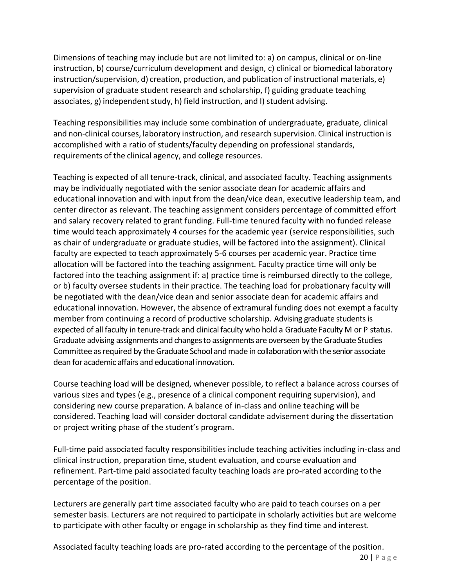Dimensions of teaching may include but are not limited to: a) on campus, clinical or on-line instruction, b) course/curriculum development and design, c) clinical or biomedical laboratory instruction/supervision, d) creation, production, and publication of instructional materials, e) supervision of graduate student research and scholarship, f) guiding graduate teaching associates, g) independent study, h) field instruction, and I) student advising.

Teaching responsibilities may include some combination of undergraduate, graduate, clinical and non-clinical courses, laboratory instruction, and research supervision.Clinical instruction is accomplished with a ratio of students/faculty depending on professional standards, requirements of the clinical agency, and college resources.

Teaching is expected of all tenure-track, clinical, and associated faculty. Teaching assignments may be individually negotiated with the senior associate dean for academic affairs and educational innovation and with input from the dean/vice dean, executive leadership team, and center director as relevant. The teaching assignment considers percentage of committed effort and salary recovery related to grant funding. Full-time tenured faculty with no funded release time would teach approximately 4 courses for the academic year (service responsibilities, such as chair of undergraduate or graduate studies, will be factored into the assignment). Clinical faculty are expected to teach approximately 5-6 courses per academic year. Practice time allocation will be factored into the teaching assignment. Faculty practice time will only be factored into the teaching assignment if: a) practice time is reimbursed directly to the college, or b) faculty oversee students in their practice. The teaching load for probationary faculty will be negotiated with the dean/vice dean and senior associate dean for academic affairs and educational innovation. However, the absence of extramural funding does not exempt a faculty member from continuing a record of productive scholarship. Advising graduate students is expected of all faculty in tenure-track and clinical faculty who hold a Graduate Faculty M or P status. Graduate advising assignments and changesto assignments are overseen by theGraduate Studies Committee as required by the Graduate School and made in collaboration with the senior associate dean for academic affairs and educational innovation.

Course teaching load will be designed, whenever possible, to reflect a balance across courses of various sizes and types (e.g., presence of a clinical component requiring supervision), and considering new course preparation. A balance of in-class and online teaching will be considered. Teaching load will consider doctoral candidate advisement during the dissertation or project writing phase of the student's program.

Full-time paid associated faculty responsibilities include teaching activities including in-class and clinical instruction, preparation time, student evaluation, and course evaluation and refinement. Part-time paid associated faculty teaching loads are pro-rated according to the percentage of the position.

Lecturers are generally part time associated faculty who are paid to teach courses on a per semester basis. Lecturers are not required to participate in scholarly activities but are welcome to participate with other faculty or engage in scholarship as they find time and interest.

20 | P a g e Associated faculty teaching loads are pro-rated according to the percentage of the position.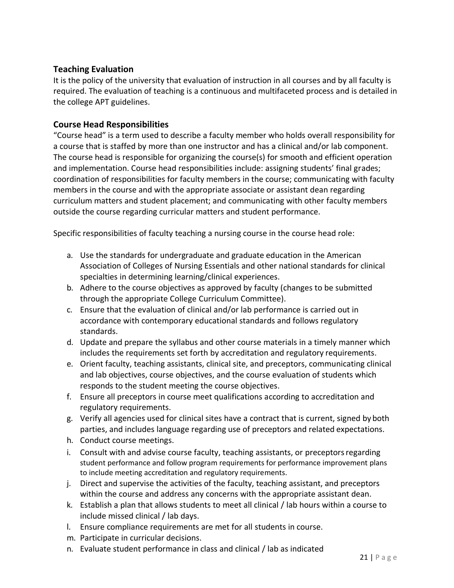#### <span id="page-20-0"></span>**Teaching Evaluation**

It is the policy of the university that evaluation of instruction in all courses and by all faculty is required. The evaluation of teaching is a continuous and multifaceted process and is detailed in the college APT guidelines.

#### <span id="page-20-1"></span>**Course Head Responsibilities**

"Course head" is a term used to describe a faculty member who holds overall responsibility for a course that is staffed by more than one instructor and has a clinical and/or lab component. The course head is responsible for organizing the course(s) for smooth and efficient operation and implementation. Course head responsibilities include: assigning students' final grades; coordination of responsibilities for faculty members in the course; communicating with faculty members in the course and with the appropriate associate or assistant dean regarding curriculum matters and student placement; and communicating with other faculty members outside the course regarding curricular matters and student performance.

Specific responsibilities of faculty teaching a nursing course in the course head role:

- a. Use the standards for undergraduate and graduate education in the American Association of Colleges of Nursing Essentials and other national standards for clinical specialties in determining learning/clinical experiences.
- b. Adhere to the course objectives as approved by faculty (changes to be submitted through the appropriate College Curriculum Committee).
- c. Ensure that the evaluation of clinical and/or lab performance is carried out in accordance with contemporary educational standards and follows regulatory standards.
- d. Update and prepare the syllabus and other course materials in a timely manner which includes the requirements set forth by accreditation and regulatory requirements.
- e. Orient faculty, teaching assistants, clinical site, and preceptors, communicating clinical and lab objectives, course objectives, and the course evaluation of students which responds to the student meeting the course objectives.
- f. Ensure all preceptors in course meet qualifications according to accreditation and regulatory requirements.
- g. Verify all agencies used for clinical sites have a contract that is current, signed by both parties, and includes language regarding use of preceptors and related expectations.
- h. Conduct course meetings.
- i. Consult with and advise course faculty, teaching assistants, or preceptors regarding student performance and follow program requirements for performance improvement plans to include meeting accreditation and regulatory requirements.
- j. Direct and supervise the activities of the faculty, teaching assistant, and preceptors within the course and address any concerns with the appropriate assistant dean.
- k. Establish a plan that allows students to meet all clinical / lab hours within a course to include missed clinical / lab days.
- l. Ensure compliance requirements are met for all students in course.
- m. Participate in curricular decisions.
- n. Evaluate student performance in class and clinical / lab as indicated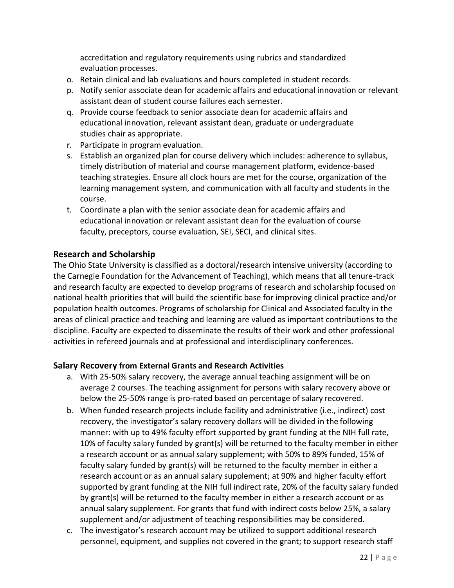accreditation and regulatory requirements using rubrics and standardized evaluation processes.

- o. Retain clinical and lab evaluations and hours completed in student records.
- p. Notify senior associate dean for academic affairs and educational innovation or relevant assistant dean of student course failures each semester.
- q. Provide course feedback to senior associate dean for academic affairs and educational innovation, relevant assistant dean, graduate or undergraduate studies chair as appropriate.
- r. Participate in program evaluation.
- s. Establish an organized plan for course delivery which includes: adherence to syllabus, timely distribution of material and course management platform, evidence-based teaching strategies. Ensure all clock hours are met for the course, organization of the learning management system, and communication with all faculty and students in the course.
- t. Coordinate a plan with the senior associate dean for academic affairs and educational innovation or relevant assistant dean for the evaluation of course faculty, preceptors, course evaluation, SEI, SECI, and clinical sites.

## <span id="page-21-0"></span>**Research and Scholarship**

The Ohio State University is classified as a doctoral/research intensive university (according to the Carnegie Foundation for the Advancement of Teaching), which means that all tenure-track and research faculty are expected to develop programs of research and scholarship focused on national health priorities that will build the scientific base for improving clinical practice and/or population health outcomes. Programs of scholarship for Clinical and Associated faculty in the areas of clinical practice and teaching and learning are valued as important contributions to the discipline. Faculty are expected to disseminate the results of their work and other professional activities in refereed journals and at professional and interdisciplinary conferences.

#### <span id="page-21-1"></span>**Salary Recovery from External Grants and Research Activities**

- a. With 25-50% salary recovery, the average annual teaching assignment will be on average 2 courses. The teaching assignment for persons with salary recovery above or below the 25-50% range is pro-rated based on percentage of salary recovered.
- b. When funded research projects include facility and administrative (i.e., indirect) cost recovery, the investigator's salary recovery dollars will be divided in the following manner: with up to 49% faculty effort supported by grant funding at the NIH full rate, 10% of faculty salary funded by grant(s) will be returned to the faculty member in either a research account or as annual salary supplement; with 50% to 89% funded, 15% of faculty salary funded by grant(s) will be returned to the faculty member in either a research account or as an annual salary supplement; at 90% and higher faculty effort supported by grant funding at the NIH full indirect rate, 20% of the faculty salary funded by grant(s) will be returned to the faculty member in either a research account or as annual salary supplement. For grants that fund with indirect costs below 25%, a salary supplement and/or adjustment of teaching responsibilities may be considered.
- c. The investigator's research account may be utilized to support additional research personnel, equipment, and supplies not covered in the grant; to support research staff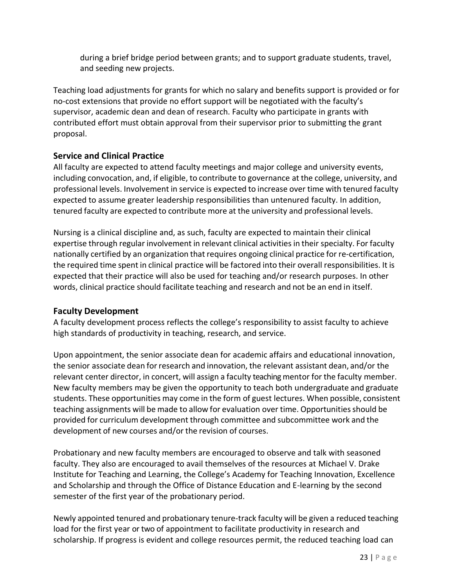during a brief bridge period between grants; and to support graduate students, travel, and seeding new projects.

Teaching load adjustments for grants for which no salary and benefits support is provided or for no-cost extensions that provide no effort support will be negotiated with the faculty's supervisor, academic dean and dean of research. Faculty who participate in grants with contributed effort must obtain approval from their supervisor prior to submitting the grant proposal.

## <span id="page-22-0"></span>**Service and Clinical Practice**

All faculty are expected to attend faculty meetings and major college and university events, including convocation, and, if eligible, to contribute to governance at the college, university, and professional levels. Involvement in service is expected to increase over time with tenured faculty expected to assume greater leadership responsibilities than untenured faculty. In addition, tenured faculty are expected to contribute more at the university and professional levels.

Nursing is a clinical discipline and, as such, faculty are expected to maintain their clinical expertise through regular involvement in relevant clinical activities in their specialty. For faculty nationally certified by an organization that requires ongoing clinical practice for re-certification, the required time spent in clinical practice will be factored into their overall responsibilities. It is expected that their practice will also be used for teaching and/or research purposes. In other words, clinical practice should facilitate teaching and research and not be an end in itself.

#### <span id="page-22-1"></span>**Faculty Development**

A faculty development process reflects the college's responsibility to assist faculty to achieve high standards of productivity in teaching, research, and service.

Upon appointment, the senior associate dean for academic affairs and educational innovation, the senior associate dean for research and innovation, the relevant assistant dean, and/or the relevant center director, in concert, will assign a faculty teaching mentor for the faculty member. New faculty members may be given the opportunity to teach both undergraduate and graduate students. These opportunities may come in the form of guest lectures. When possible, consistent teaching assignments will be made to allow for evaluation over time. Opportunities should be provided for curriculum development through committee and subcommittee work and the development of new courses and/or the revision of courses.

Probationary and new faculty members are encouraged to observe and talk with seasoned faculty. They also are encouraged to avail themselves of the resources at Michael V. Drake Institute for Teaching and Learning, the College's Academy for Teaching Innovation, Excellence and Scholarship and through the Office of Distance Education and E-learning by the second semester of the first year of the probationary period.

Newly appointed tenured and probationary tenure-track faculty will be given a reduced teaching load for the first year or two of appointment to facilitate productivity in research and scholarship. If progress is evident and college resources permit, the reduced teaching load can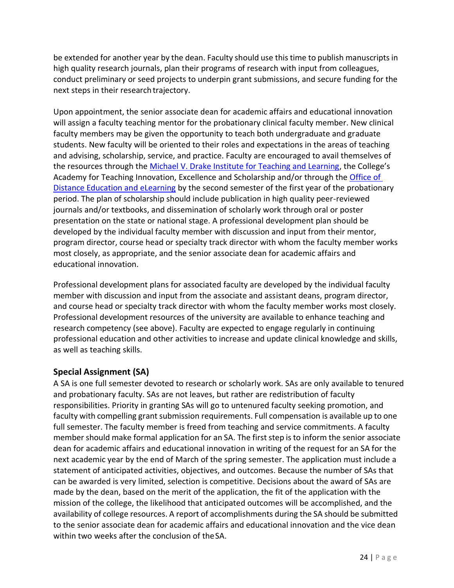be extended for another year by the dean. Faculty should use this time to publish manuscripts in high quality research journals, plan their programs of research with input from colleagues, conduct preliminary or seed projects to underpin grant submissions, and secure funding for the next steps in their research trajectory.

Upon appointment, the senior associate dean for academic affairs and educational innovation will assign a faculty teaching mentor for the probationary clinical faculty member. New clinical faculty members may be given the opportunity to teach both undergraduate and graduate students. New faculty will be oriented to their roles and expectations in the areas of teaching and advising, scholarship, service, and practice. Faculty are encouraged to avail themselves of the resources through the [Michael V. Drake Institute for Teaching and Learning](https://drakeinstitute.osu.edu/), the College's Academy for Teaching Innovation, Excellence and Scholarship and/or through the [Office of](https://odee.osu.edu/)  [Distance Education and eLearning](https://odee.osu.edu/) by the second semester of the first year of the probationary period. The plan of scholarship should include publication in high quality peer-reviewed journals and/or textbooks, and dissemination of scholarly work through oral or poster presentation on the state or national stage. A professional development plan should be developed by the individual faculty member with discussion and input from their mentor, program director, course head or specialty track director with whom the faculty member works most closely, as appropriate, and the senior associate dean for academic affairs and educational innovation.

Professional development plans for associated faculty are developed by the individual faculty member with discussion and input from the associate and assistant deans, program director, and course head or specialty track director with whom the faculty member works most closely. Professional development resources of the university are available to enhance teaching and research competency (see above). Faculty are expected to engage regularly in continuing professional education and other activities to increase and update clinical knowledge and skills, as well as teaching skills.

## <span id="page-23-0"></span>**Special Assignment (SA)**

A SA is one full semester devoted to research or scholarly work. SAs are only available to tenured and probationary faculty. SAs are not leaves, but rather are redistribution of faculty responsibilities. Priority in granting SAs will go to untenured faculty seeking promotion, and faculty with compelling grant submission requirements. Full compensation is available up to one full semester. The faculty member is freed from teaching and service commitments. A faculty member should make formal application for an SA. The first step is to inform the senior associate dean for academic affairs and educational innovation in writing of the request for an SA for the next academic year by the end of March of the spring semester. The application must include a statement of anticipated activities, objectives, and outcomes. Because the number of SAs that can be awarded is very limited, selection is competitive. Decisions about the award of SAs are made by the dean, based on the merit of the application, the fit of the application with the mission of the college, the likelihood that anticipated outcomes will be accomplished, and the availability of college resources. A report of accomplishments during the SA should be submitted to the senior associate dean for academic affairs and educational innovation and the vice dean within two weeks after the conclusion of theSA.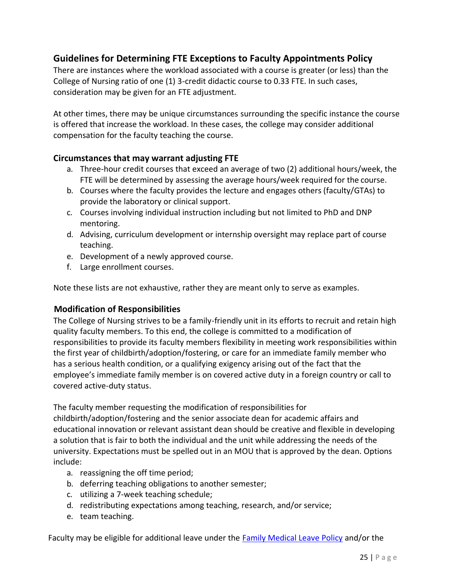## **Guidelines for Determining FTE Exceptions to Faculty Appointments Policy**

There are instances where the workload associated with a course is greater (or less) than the College of Nursing ratio of one (1) 3-credit didactic course to 0.33 FTE. In such cases, consideration may be given for an FTE adjustment.

At other times, there may be unique circumstances surrounding the specific instance the course is offered that increase the workload. In these cases, the college may consider additional compensation for the faculty teaching the course.

#### <span id="page-24-0"></span>**Circumstances that may warrant adjusting FTE**

- a. Three-hour credit courses that exceed an average of two (2) additional hours/week, the FTE will be determined by assessing the average hours/week required for the course.
- b. Courses where the faculty provides the lecture and engages others (faculty/GTAs) to provide the laboratory or clinical support.
- c. Courses involving individual instruction including but not limited to PhD and DNP mentoring.
- d. Advising, curriculum development or internship oversight may replace part of course teaching.
- e. Development of a newly approved course.
- f. Large enrollment courses.

Note these lists are not exhaustive, rather they are meant only to serve as examples.

#### <span id="page-24-1"></span>**Modification of Responsibilities**

The College of Nursing strives to be a family-friendly unit in its efforts to recruit and retain high quality faculty members. To this end, the college is committed to a modification of responsibilities to provide its faculty members flexibility in meeting work responsibilities within the first year of childbirth/adoption/fostering, or care for an immediate family member who has a serious health condition, or a qualifying exigency arising out of the fact that the employee's immediate family member is on covered active duty in a foreign country or call to covered active-duty status.

The faculty member requesting the modification of responsibilities for

childbirth/adoption/fostering and the senior associate dean for academic affairs and educational innovation or relevant assistant dean should be creative and flexible in developing a solution that is fair to both the individual and the unit while addressing the needs of the university. Expectations must be spelled out in an MOU that is approved by the dean. Options include:

- a. reassigning the off time period;
- b. deferring teaching obligations to another semester;
- c. utilizing a 7-week teaching schedule;
- d. redistributing expectations among teaching, research, and/or service;
- e. team teaching.

Faculty may be eligible for additional leave under the [Family Medical Leave Policy](https://hr.osu.edu/wp-content/uploads/policy605.pdf) and/or the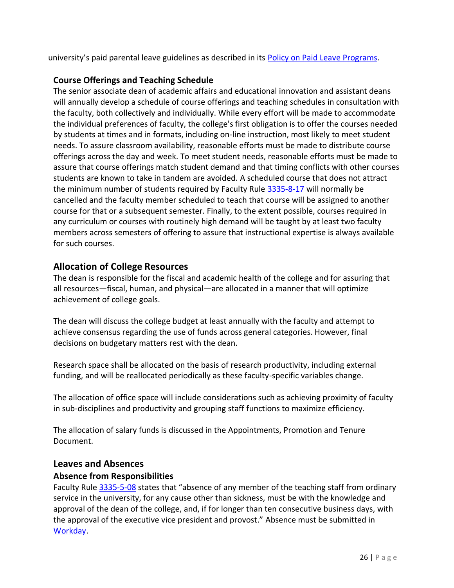university's paid parental leave guidelines as described in its [Policy on Paid Leave Programs.](https://hr.osu.edu/wp-content/uploads/policy627.pdf)

## <span id="page-25-0"></span>**Course Offerings and Teaching Schedule**

The senior associate dean of academic affairs and educational innovation and assistant deans will annually develop a schedule of course offerings and teaching schedules in consultation with the faculty, both collectively and individually. While every effort will be made to accommodate the individual preferences of faculty, the college's first obligation is to offer the courses needed by students at times and in formats, including on-line instruction, most likely to meet student needs. To assure classroom availability, reasonable efforts must be made to distribute course offerings across the day and week. To meet student needs, reasonable efforts must be made to assure that course offerings match student demand and that timing conflicts with other courses students are known to take in tandem are avoided. A scheduled course that does not attract the minimum number of students required by Faculty Rule [3335-8-17](https://trustees.osu.edu/rules/university-rules/chapter-3335-8-instruction.html) will normally be cancelled and the faculty member scheduled to teach that course will be assigned to another course for that or a subsequent semester. Finally, to the extent possible, courses required in any curriculum or courses with routinely high demand will be taught by at least two faculty members across semesters of offering to assure that instructional expertise is always available for such courses.

## <span id="page-25-1"></span>**Allocation of College Resources**

The dean is responsible for the fiscal and academic health of the college and for assuring that all resources—fiscal, human, and physical—are allocated in a manner that will optimize achievement of college goals.

The dean will discuss the college budget at least annually with the faculty and attempt to achieve consensus regarding the use of funds across general categories. However, final decisions on budgetary matters rest with the dean.

Research space shall be allocated on the basis of research productivity, including external funding, and will be reallocated periodically as these faculty-specific variables change.

The allocation of office space will include considerations such as achieving proximity of faculty in sub-disciplines and productivity and grouping staff functions to maximize efficiency.

The allocation of salary funds is discussed in the Appointments, Promotion and Tenure Document.

#### <span id="page-25-2"></span>**Leaves and Absences**

#### <span id="page-25-3"></span>**Absence from Responsibilities**

Faculty Rule [3335-5-08](https://trustees.osu.edu/rules/university-rules/chapter-3335-5-faculty-governance-and-committees.html) states that "absence of any member of the teaching staff from ordinary service in the university, for any cause other than sickness, must be with the knowledge and approval of the dean of the college, and, if for longer than ten consecutive business days, with the approval of the executive vice president and provost." Absence must be submitted in [Workday.](https://workday.osu.edu/)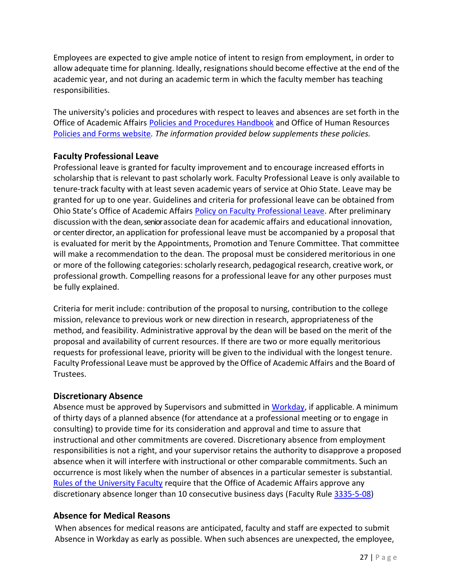Employees are expected to give ample notice of intent to resign from employment, in order to allow adequate time for planning. Ideally, resignations should become effective at the end of the academic year, and not during an academic term in which the faculty member has teaching responsibilities.

The university's policies and procedures with respect to leaves and absences are set forth in the Office of Academic Affairs [Policies and Procedures Handbook](https://oaa.osu.edu/policies-and-procedures-handbook) and Office of Human Resources [Policies and Forms website](https://hr.osu.edu/policies-forms)*. The information provided below supplements these policies.*

## <span id="page-26-0"></span>**Faculty Professional Leave**

Professional leave is granted for faculty improvement and to encourage increased efforts in scholarship that is relevant to past scholarly work. Faculty Professional Leave is only available to tenure-track faculty with at least seven academic years of service at Ohio State. Leave may be granted for up to one year. Guidelines and criteria for professional leave can be obtained from Ohio State's Office of Academic Affairs [Policy on Faculty Professional Leave.](http://oaa.osu.edu/assets/files/documents/facultyprofessionalleave.pdf) After preliminary discussion with the dean, senior associate dean for academic affairs and educational innovation, or center director, an application for professional leave must be accompanied by a proposal that is evaluated for merit by the Appointments, Promotion and Tenure Committee. That committee will make a recommendation to the dean. The proposal must be considered meritorious in one or more of the following categories:scholarly research, pedagogical research, creative work, or professional growth. Compelling reasons for a professional leave for any other purposes must be fully explained.

Criteria for merit include: contribution of the proposal to nursing, contribution to the college mission, relevance to previous work or new direction in research, appropriateness of the method, and feasibility. Administrative approval by the dean will be based on the merit of the proposal and availability of current resources. If there are two or more equally meritorious requests for professional leave, priority will be given to the individual with the longest tenure. Faculty Professional Leave must be approved by the Office of Academic Affairs and the Board of Trustees.

#### <span id="page-26-1"></span>**Discretionary Absence**

Absence must be approved by Supervisors and submitted in [Workday,](https://workday.osu.edu/) if applicable. A minimum of thirty days of a planned absence (for attendance at a professional meeting or to engage in consulting) to provide time for its consideration and approval and time to assure that instructional and other commitments are covered. Discretionary absence from employment responsibilities is not a right, and your supervisor retains the authority to disapprove a proposed absence when it will interfere with instructional or other comparable commitments. Such an occurrence is most likely when the number of absences in a particular semester is substantial. Rules of the University Faculty require that the Office of Academic Affairs approve any discretionary absence longer than 10 consecutive business days (Faculty Rul[e 3335-5-08\)](https://trustees.osu.edu/rules/university-rules/chapter-3335-5-faculty-governance-and-committees.html)

#### <span id="page-26-2"></span>**Absence for Medical Reasons**

When absences for medical reasons are anticipated, faculty and staff are expected to submit Absence in Workday as early as possible. When such absences are unexpected, the employee,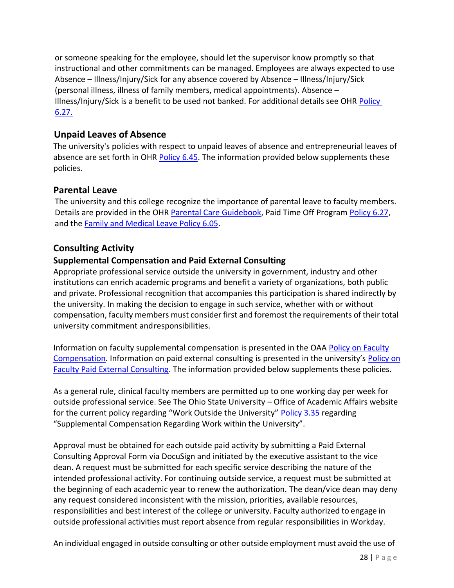or someone speaking for the employee, should let the supervisor know promptly so that instructional and other commitments can be managed. Employees are always expected to use Absence – Illness/Injury/Sick for any absence covered by Absence – Illness/Injury/Sick (personal illness, illness of family members, medical appointments). Absence – Illness/Injury/Sick is a benefit to be used not banked. For additional details see OHR [Policy](https://hr.osu.edu/wp-content/uploads/policy627.pdf)  [6.27.](https://hr.osu.edu/wp-content/uploads/policy627.pdf)

## <span id="page-27-0"></span>**Unpaid Leaves of Absence**

The university's policies with respect to unpaid leaves of absence and entrepreneurial leaves of absence are set forth in OHR [Policy 6.45.](https://hr.osu.edu/public/documents/policy/policy645.pdf) The information provided below supplements these policies.

## <span id="page-27-1"></span>**Parental Leave**

The university and this college recognize the importance of parental leave to faculty members. Details are provided in the OHR [Parental Care Guidebook,](https://hr.osu.edu/wp-content/uploads/parental-care-guidebook.pdf) Paid Time Off Program [Policy 6.27,](https://hr.osu.edu/wp-content/uploads/policy627.pdf) and the [Family and Medical Leave Policy 6.05.](https://hr.osu.edu/wp-content/uploads/policy605.pdf)

## <span id="page-27-2"></span>**Consulting Activity**

## <span id="page-27-3"></span>**Supplemental Compensation and Paid External Consulting**

Appropriate professional service outside the university in government, industry and other institutions can enrich academic programs and benefit a variety of organizations, both public and private. Professional recognition that accompanies this participation is shared indirectly by the university. In making the decision to engage in such service, whether with or without compensation, faculty members must consider first and foremost the requirements of their total university commitment andresponsibilities.

Information on faculty supplemental compensation is presented in the OAA [Policy on Faculty](https://oaa.osu.edu/assets/files/documents/facultycompensation.pdf) [Compensation.](https://oaa.osu.edu/assets/files/documents/facultycompensation.pdf) Information on paid external consulting is presented in the university's [Policy on](https://oaa.osu.edu/assets/files/documents/paidexternalconsulting.pdf) [Faculty Paid External Consulting.](https://oaa.osu.edu/assets/files/documents/paidexternalconsulting.pdf) The information provided below supplements these policies.

As a general rule, clinical faculty members are permitted up to one working day per week for outside professional service. See The Ohio State University – Office of Academic Affairs website for the current policy regarding "Work Outside the University" [Policy 3.35](https://hr.osu.edu/wp-content/uploads/policy335.pdf) regarding "Supplemental Compensation Regarding Work within the University".

Approval must be obtained for each outside paid activity by submitting a Paid External Consulting Approval Form via DocuSign and initiated by the executive assistant to the vice dean. A request must be submitted for each specific service describing the nature of the intended professional activity. For continuing outside service, a request must be submitted at the beginning of each academic year to renew the authorization. The dean/vice dean may deny any request considered inconsistent with the mission, priorities, available resources, responsibilities and best interest of the college or university. Faculty authorized to engage in outside professional activities must report absence from regular responsibilities in Workday.

An individual engaged in outside consulting or other outside employment must avoid the use of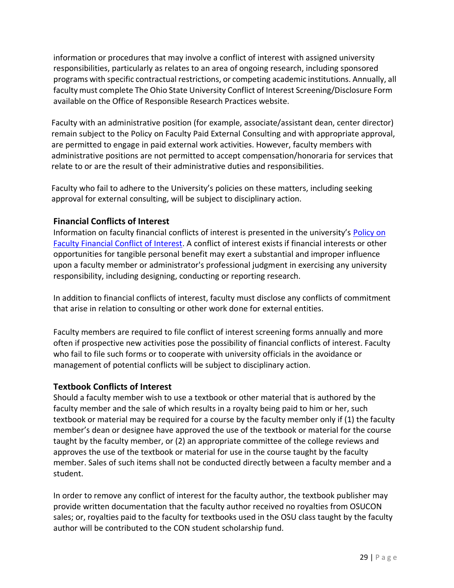information or procedures that may involve a conflict of interest with assigned university responsibilities, particularly as relates to an area of ongoing research, including sponsored programs with specific contractual restrictions, or competing academic institutions. Annually, all faculty must complete The Ohio State University Conflict of Interest Screening/Disclosure Form available on the Office of Responsible Research Practices website.

Faculty with an administrative position (for example, associate/assistant dean, center director) remain subject to the Policy on Faculty Paid External Consulting and with appropriate approval, are permitted to engage in paid external work activities. However, faculty members with administrative positions are not permitted to accept compensation/honoraria for services that relate to or are the result of their administrative duties and responsibilities.

Faculty who fail to adhere to the University's policies on these matters, including seeking approval for external consulting, will be subject to disciplinary action.

## <span id="page-28-0"></span>**Financial Conflicts of Interest**

Information on faculty financial conflicts of interest is presented in the university's **[Policy on](https://oaa.osu.edu/sites/default/files/uploads/policies/Faculty-Financial-Conflict-of-Interest.pdf)** [Faculty Financial Conflict of Interest.](https://oaa.osu.edu/sites/default/files/uploads/policies/Faculty-Financial-Conflict-of-Interest.pdf) A conflict of interest exists if financial interests or other opportunities for tangible personal benefit may exert a substantial and improper influence upon a faculty member or administrator's professional judgment in exercising any university responsibility, including designing, conducting or reporting research.

In addition to financial conflicts of interest, faculty must disclose any conflicts of commitment that arise in relation to consulting or other work done for external entities.

Faculty members are required to file conflict of interest screening forms annually and more often if prospective new activities pose the possibility of financial conflicts of interest. Faculty who fail to file such forms or to cooperate with university officials in the avoidance or management of potential conflicts will be subject to disciplinary action.

#### <span id="page-28-1"></span>**Textbook Conflicts of Interest**

Should a faculty member wish to use a textbook or other material that is authored by the faculty member and the sale of which results in a royalty being paid to him or her, such textbook or material may be required for a course by the faculty member only if (1) the faculty member's dean or designee have approved the use of the textbook or material for the course taught by the faculty member, or (2) an appropriate committee of the college reviews and approves the use of the textbook or material for use in the course taught by the faculty member. Sales of such items shall not be conducted directly between a faculty member and a student.

In order to remove any conflict of interest for the faculty author, the textbook publisher may provide written documentation that the faculty author received no royalties from OSUCON sales; or, royalties paid to the faculty for textbooks used in the OSU class taught by the faculty author will be contributed to the CON student scholarship fund.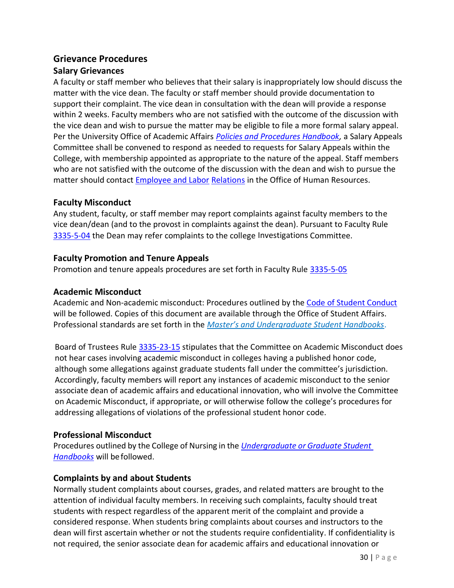## <span id="page-29-0"></span>**Grievance Procedures**

## <span id="page-29-1"></span>**Salary Grievances**

A faculty or staff member who believes that their salary is inappropriately low should discuss the matter with the vice dean. The faculty or staff member should provide documentation to support their complaint. The vice dean in consultation with the dean will provide a response within 2 weeks. Faculty members who are not satisfied with the outcome of the discussion with the vice dean and wish to pursue the matter may be eligible to file a more formal salary appeal. Per the University Office of Academic Affairs *[Policies and Procedures Handbook,](https://oaa.osu.edu/policies-and-procedures-handbook)* a Salary Appeals Committee shall be convened to respond as needed to requests for Salary Appeals within the College, with membership appointed as appropriate to the nature of the appeal. Staff members who are not satisfied with the outcome of the discussion with the dean and wish to pursue the matter should contact [Employee and Labor](https://hr.osu.edu/services/elr/) [Relations](https://hr.osu.edu/services/elr/) in the Office of Human Resources.

#### <span id="page-29-2"></span>**Faculty Misconduct**

Any student, faculty, or staff member may report complaints against faculty members to the vice dean/dean (and to the provost in complaints against the dean). Pursuant to Faculty Rule [3335-5-04](https://trustees.osu.edu/bylaws-and-rules/3335-5) the Dean may refer complaints to the college Investigations Committee.

## <span id="page-29-3"></span>**Faculty Promotion and Tenure Appeals**

Promotion and tenure appeals procedures are set forth in Faculty Rule [3335-5-05](https://trustees.osu.edu/bylaws-and-rules/3335-5)

#### <span id="page-29-4"></span>**Academic Misconduct**

Academic and Non-academic misconduct: Procedures outlined by the [Code of Student Conduct](https://trustees.osu.edu/rules/code-of-student-conduct/) will be followed. Copies of this document are available through the Office of Student Affairs. Professional standards are set forth in the *[Master's and Undergraduate Student Handbooks](https://nursing.osu.edu/students/student-resources/student-handbooks)*.

Board of Trustees Rule [3335-23-15](https://trustees.osu.edu/code-student-conduct/3335-23-15) stipulates that the Committee on Academic Misconduct does not hear cases involving academic misconduct in colleges having a published honor code, although some allegations against graduate students fall under the committee's jurisdiction. Accordingly, faculty members will report any instances of academic misconduct to the senior associate dean of academic affairs and educational innovation, who will involve the Committee on Academic Misconduct, if appropriate, or will otherwise follow the college's procedures for addressing allegations of violations of the professional student honor code.

## <span id="page-29-5"></span>**Professional Misconduct**

Procedures outlined by the College of Nursing in the *[Undergraduate](https://nursing.osu.edu/students/student-resources/student-handbooks) or Graduate Student [Handbooks](https://nursing.osu.edu/students/student-resources/student-handbooks)* will be followed.

## <span id="page-29-6"></span>**Complaints by and about Students**

Normally student complaints about courses, grades, and related matters are brought to the attention of individual faculty members. In receiving such complaints, faculty should treat students with respect regardless of the apparent merit of the complaint and provide a considered response. When students bring complaints about courses and instructors to the dean will first ascertain whether or not the students require confidentiality. If confidentiality is not required, the senior associate dean for academic affairs and educational innovation or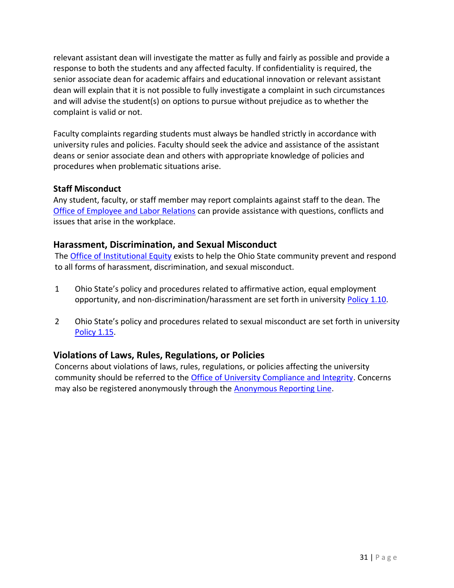relevant assistant dean will investigate the matter as fully and fairly as possible and provide a response to both the students and any affected faculty. If confidentiality is required, the senior associate dean for academic affairs and educational innovation or relevant assistant dean will explain that it is not possible to fully investigate a complaint in such circumstances and will advise the student(s) on options to pursue without prejudice as to whether the complaint is valid or not.

Faculty complaints regarding students must always be handled strictly in accordance with university rules and policies. Faculty should seek the advice and assistance of the assistant deans or senior associate dean and others with appropriate knowledge of policies and procedures when problematic situations arise.

## <span id="page-30-0"></span>**Staff Misconduct**

Any student, faculty, or staff member may report complaints against staff to the dean. The [Office of Employee and Labor Relations](https://hr.osu.edu/services/elr/) can provide assistance with questions, conflicts and issues that arise in the workplace.

## <span id="page-30-1"></span>**Harassment, Discrimination, and Sexual Misconduct**

The [Office of Institutional Equity](https://equity.osu.edu/) exists to help the Ohio State community prevent and respond to all forms of harassment, discrimination, and sexual misconduct.

- 1 Ohio State's policy and procedures related to affirmative action, equal employment opportunity, and non-discrimination/harassment are set forth in university [Policy 1.10.](https://policies.osu.edu/assets/docs/policy_pdfs/AffirmativeActionEqualEmploymentOpportunityandNon-Discrimination-Harassment_FINAL.pdf)
- 2 Ohio State's policy and procedures related to sexual misconduct are set forth in university [Policy 1.15.](https://policies.osu.edu/assets/docs/policy_pdfs/SexualMisconduct_FINAL.pdf)

## <span id="page-30-2"></span>**Violations of Laws, Rules, Regulations, or Policies**

Concerns about violations of laws, rules, regulations, or policies affecting the university community should be referred to the [Office of University Compliance and Integrity.](https://compliance.osu.edu/concern-reporting.html) Concerns may also be registered anonymously through the [Anonymous Reporting Line.](https://secure.ethicspoint.com/domain/media/en/gui/7689/index.html)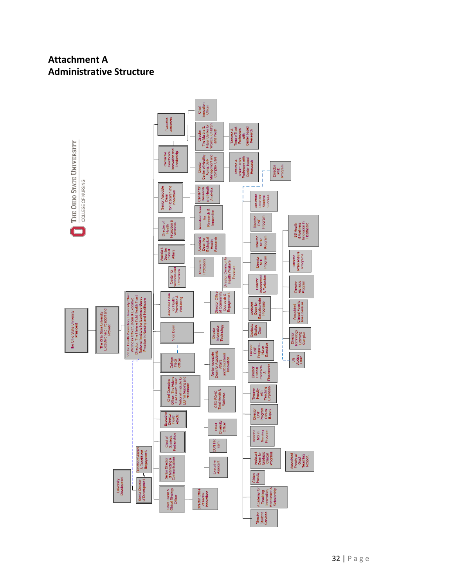## <span id="page-31-0"></span>**Attachment A Administrative Structure**

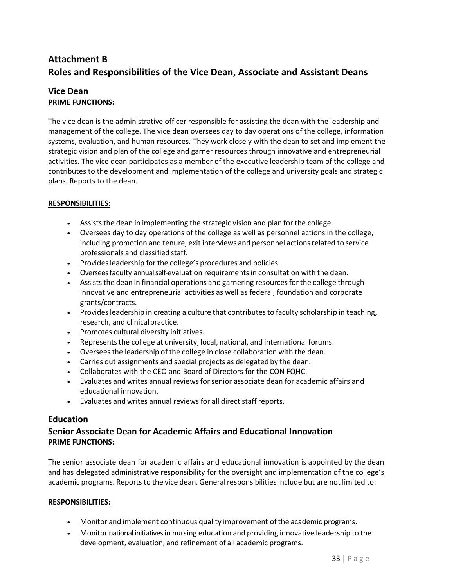## <span id="page-32-0"></span>**Attachment B Roles and Responsibilities of the Vice Dean, Associate and Assistant Deans**

#### <span id="page-32-1"></span>**Vice Dean PRIME FUNCTIONS:**

The vice dean is the administrative officer responsible for assisting the dean with the leadership and management of the college. The vice dean oversees day to day operations of the college, information systems, evaluation, and human resources. They work closely with the dean to set and implement the strategic vision and plan of the college and garner resources through innovative and entrepreneurial activities. The vice dean participates as a member of the executive leadership team of the college and contributes to the development and implementation of the college and university goals and strategic plans. Reports to the dean.

#### **RESPONSIBILITIES:**

- Assists the dean in implementing the strategic vision and plan for the college.
- Oversees day to day operations of the college as well as personnel actions in the college, including promotion and tenure, exit interviews and personnel actions related to service professionals and classified staff.
- Provides leadership for the college's procedures and policies.
- Oversees faculty annual self-evaluation requirementsin consultation with the dean.
- Assists the dean in financial operations and garnering resources for the college through innovative and entrepreneurial activities as well as federal, foundation and corporate grants/contracts.
- Provides leadership in creating a culture that contributes to faculty scholarship in teaching, research, and clinicalpractice.
- Promotes cultural diversity initiatives.
- Represents the college at university, local, national, and international forums.
- Overseesthe leadership of the college in close collaboration with the dean.
- Carries out assignments and special projects as delegated by the dean.
- Collaborates with the CEO and Board of Directors for the CON FQHC.
- Evaluates and writes annual reviewsforsenior associate dean for academic affairs and educational innovation.
- Evaluates and writes annual reviews for all direct staff reports.

#### <span id="page-32-2"></span>**Education**

#### <span id="page-32-3"></span>**Senior Associate Dean for Academic Affairs and Educational Innovation PRIME FUNCTIONS:**

The senior associate dean for academic affairs and educational innovation is appointed by the dean and has delegated administrative responsibility for the oversight and implementation of the college's academic programs. Reports to the vice dean. General responsibilities include but are not limited to:

- Monitor and implement continuous quality improvement of the academic programs.
- Monitor national initiatives in nursing education and providing innovative leadership to the development, evaluation, and refinement of all academic programs.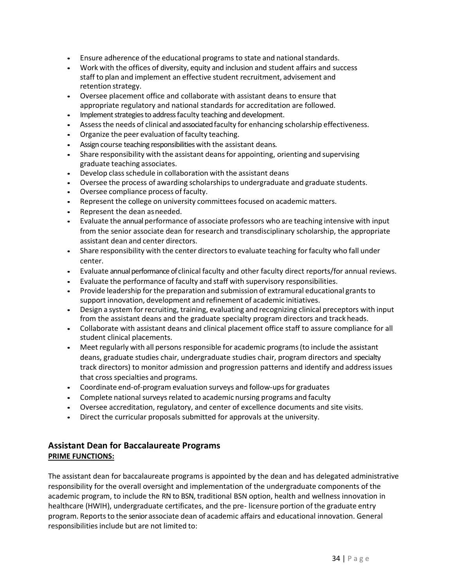- Ensure adherence of the educational programs to state and national standards.
- Work with the offices of diversity, equity and inclusion and student affairs and success staff to plan and implement an effective student recruitment, advisement and retention strategy.
- Oversee placement office and collaborate with assistant deans to ensure that appropriate regulatory and national standards for accreditation are followed.
- Implement strategies to address faculty teaching and development.
- Assessthe needs of clinical and associated faculty for enhancing scholarship effectiveness.
- Organize the peer evaluation of faculty teaching.
- Assign course teaching responsibilities with the assistant deans.
- Share responsibility with the assistant deansfor appointing, orienting and supervising graduate teaching associates.
- Develop class schedule in collaboration with the assistant deans
- Oversee the process of awarding scholarshipsto undergraduate and graduate students.
- Oversee compliance process of faculty.
- Represent the college on university committees focused on academic matters.
- Represent the dean as needed.
- Evaluate the annual performance of associate professors who are teaching intensive with input from the senior associate dean for research and transdisciplinary scholarship, the appropriate assistant dean and center directors.
- Share responsibility with the center directors to evaluate teaching for faculty who fall under center.
- Evaluate annual performance of clinical faculty and other faculty direct reports/for annual reviews.
- Evaluate the performance of faculty and staff with supervisory responsibilities.
- Provide leadership for the preparation and submission of extramural educational grants to support innovation, development and refinement of academic initiatives.
- Design a system for recruiting, training, evaluating and recognizing clinical preceptors with input from the assistant deans and the graduate specialty program directors and track heads.
- Collaborate with assistant deans and clinical placement office staff to assure compliance for all student clinical placements.
- Meet regularly with all persons responsible for academic programs(to include the assistant deans, graduate studies chair, undergraduate studies chair, program directors and specialty track directors) to monitor admission and progression patterns and identify and addressissues that cross specialties and programs.
- Coordinate end-of-program evaluation surveys and follow-upsfor graduates
- Complete national surveys related to academic nursing programs and faculty
- Oversee accreditation, regulatory, and center of excellence documents and site visits.
- Direct the curricular proposals submitted for approvals at the university.

#### <span id="page-33-0"></span>**Assistant Dean for Baccalaureate Programs PRIME FUNCTIONS:**

The assistant dean for baccalaureate programs is appointed by the dean and has delegated administrative responsibility for the overall oversight and implementation of the undergraduate components of the academic program, to include the RN to BSN, traditional BSN option, health and wellness innovation in healthcare (HWIH), undergraduate certificates, and the pre- licensure portion of the graduate entry program. Reports to the senior associate dean of academic affairs and educational innovation. General responsibilities include but are not limited to: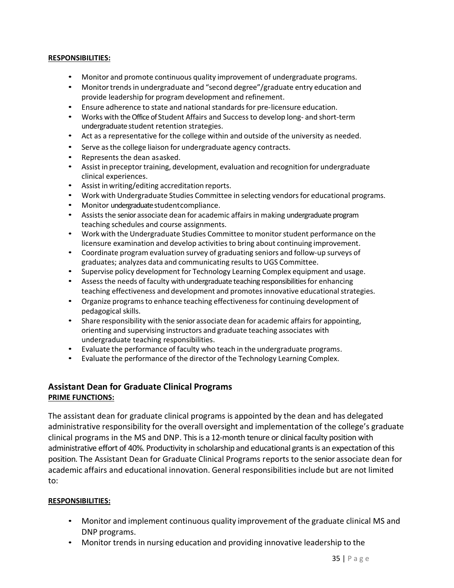#### **RESPONSIBILITIES:**

- Monitor and promote continuous quality improvement of undergraduate programs.
- Monitor trends in undergraduate and "second degree"/graduate entry education and provide leadership for program development and refinement.
- Ensure adherence to state and national standardsfor pre-licensure education.
- Works with the Office of Student Affairs and Successto develop long- and short-term undergraduate student retention strategies.
- Act as a representative for the college within and outside of the university as needed.
- Serve asthe college liaison for undergraduate agency contracts.
- Represents the dean asasked.
- Assist in preceptor training, development, evaluation and recognition for undergraduate clinical experiences.
- Assist in writing/editing accreditation reports.
- Work with Undergraduate Studies Committee in selecting vendors for educational programs.
- Monitor undergraduate studentcompliance.
- Assists the senior associate dean for academic affairs in making undergraduate program teaching schedules and course assignments.
- Work with the Undergraduate Studies Committee to monitor student performance on the licensure examination and develop activitiesto bring about continuing improvement.
- Coordinate program evaluation survey of graduating seniors and follow-up surveys of graduates; analyzes data and communicating resultsto UGS Committee.
- Supervise policy development for Technology Learning Complex equipment and usage.
- Assess the needs of faculty with undergraduate teaching responsibilities for enhancing teaching effectiveness and development and promotes innovative educational strategies.
- Organize programs to enhance teaching effectiveness for continuing development of pedagogical skills.
- Share responsibility with the senior associate dean for academic affairs for appointing, orienting and supervising instructors and graduate teaching associates with undergraduate teaching responsibilities.
- Evaluate the performance of faculty who teach in the undergraduate programs.
- Evaluate the performance of the director of the Technology Learning Complex.

#### <span id="page-34-0"></span>**Assistant Dean for Graduate Clinical Programs PRIME FUNCTIONS:**

The assistant dean for graduate clinical programs is appointed by the dean and has delegated administrative responsibility for the overall oversight and implementation of the college's graduate clinical programs in the MS and DNP. This is a 12-month tenure or clinical faculty position with administrative effort of 40%. Productivity in scholarship and educational grants is an expectation of this position. The Assistant Dean for Graduate Clinical Programs reports to the senior associate dean for academic affairs and educational innovation. General responsibilities include but are not limited to:

- Monitor and implement continuous quality improvement of the graduate clinical MS and DNP programs.
- Monitor trends in nursing education and providing innovative leadership to the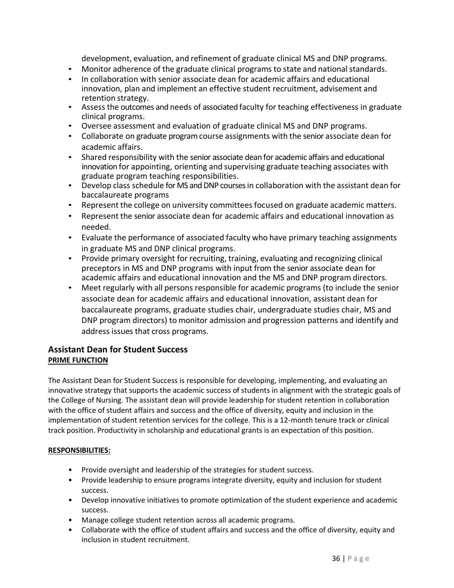development, evaluation, and refinement of graduate clinical MS and DNP programs.

- Monitor adherence of the graduate clinical programs to state and national standards.
- In collaboration with senior associate dean for academic affairs and educational innovation, plan and implement an effective student recruitment, advisement and retention strategy.
- Assess the outcomes and needs of associated faculty for teaching effectiveness in graduate clinical programs.
- Oversee assessment and evaluation of graduate clinical MS and DNP programs.
- Collaborate on graduate program course assignments with the senior associate dean for academic affairs.
- Shared responsibility with the senior associate dean for academic affairs and educational innovation for appointing, orienting and supervising graduate teaching associates with graduate program teaching responsibilities.
- Develop class schedule for MS and DNP courses in collaboration with the assistant dean for baccalaureate programs
- Represent the college on university committees focused on graduate academic matters.
- Represent the senior associate dean for academic affairs and educational innovation as needed.
- Evaluate the performance of associated faculty who have primary teaching assignments in graduate MS and DNP clinical programs.
- Provide primary oversight for recruiting, training, evaluating and recognizing clinical preceptors in MS and DNP programs with input from the senior associate dean for academic affairs and educational innovation and the MS and DNP program directors.
- Meet regularly with all persons responsible for academic programs (to include the senior associate dean for academic affairs and educational innovation, assistant dean for baccalaureate programs, graduate studies chair, undergraduate studies chair, MS and DNP program directors) to monitor admission and progression patterns and identify and address issues that cross programs.

## <span id="page-35-0"></span>**Assistant Dean for Student Success PRIME FUNCTION**

The Assistant Dean for Student Success is responsible for developing, implementing, and evaluating an innovative strategy that supports the academic success of students in alignment with the strategic goals of the College of Nursing. The assistant dean will provide leadership for student retention in collaboration with the office of student affairs and success and the office of diversity, equity and inclusion in the implementation of student retention services for the college. This is a 12-month tenure track or clinical track position. Productivity in scholarship and educational grants is an expectation of this position.

- Provide oversight and leadership of the strategies for student success.
- Provide leadership to ensure programs integrate diversity, equity and inclusion for student success.
- Develop innovative initiatives to promote optimization of the student experience and academic success.
- Manage college student retention across all academic programs.
- Collaborate with the office of student affairs and success and the office of diversity, equity and inclusion in student recruitment.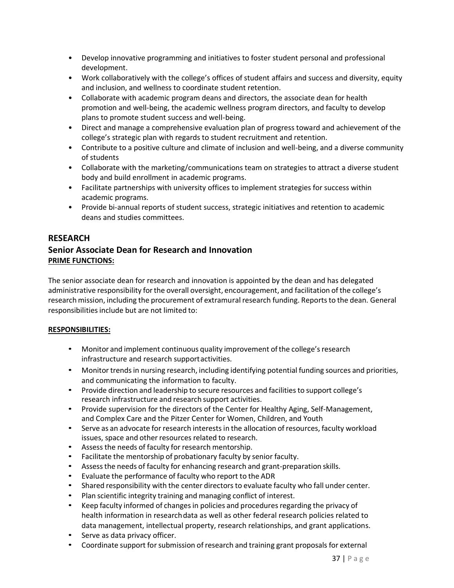- Develop innovative programming and initiatives to foster student personal and professional development.
- Work collaboratively with the college's offices of student affairs and success and diversity, equity and inclusion, and wellness to coordinate student retention.
- Collaborate with academic program deans and directors, the associate dean for health promotion and well-being, the academic wellness program directors, and faculty to develop plans to promote student success and well-being.
- Direct and manage a comprehensive evaluation plan of progress toward and achievement of the college's strategic plan with regards to student recruitment and retention.
- Contribute to a positive culture and climate of inclusion and well-being, and a diverse community of students
- Collaborate with the marketing/communications team on strategies to attract a diverse student body and build enrollment in academic programs.
- Facilitate partnerships with university offices to implement strategies for success within academic programs.
- Provide bi-annual reports of student success, strategic initiatives and retention to academic deans and studies committees.

#### <span id="page-36-0"></span>**RESEARCH**

## <span id="page-36-1"></span>**Senior Associate Dean for Research and Innovation PRIME FUNCTIONS:**

The senior associate dean for research and innovation is appointed by the dean and has delegated administrative responsibility forthe overall oversight, encouragement, and facilitation of the college's research mission, including the procurement of extramural research funding. Reports to the dean. General responsibilities include but are not limited to:

- Monitor and implement continuous quality improvement of the college's research infrastructure and research supportactivities.
- Monitor trends in nursing research, including identifying potential funding sources and priorities, and communicating the information to faculty.
- Provide direction and leadership to secure resources and facilities to support college's research infrastructure and research support activities.
- Provide supervision for the directors of the Center for Healthy Aging, Self-Management, and Complex Care and the Pitzer Center for Women, Children, and Youth
- Serve as an advocate for research interests in the allocation of resources, faculty workload issues, space and other resources related to research.
- Assess the needs of faculty for research mentorship.
- Facilitate the mentorship of probationary faculty by senior faculty.
- Assessthe needs of faculty for enhancing research and grant-preparation skills.
- Evaluate the performance of faculty who report to the ADR
- Shared responsibility with the center directors to evaluate faculty who fall under center.
- Plan scientific integrity training and managing conflict of interest.
- Keep faculty informed of changes in policies and procedures regarding the privacy of health information in researchdata as well as other federal research policies related to data management, intellectual property, research relationships, and grant applications.
- Serve as data privacy officer.
- Coordinate support for submission of research and training grant proposals for external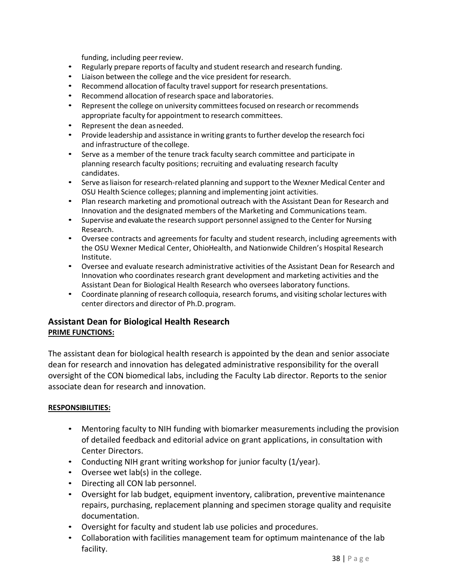funding, including peer review.

- Regularly prepare reports of faculty and student research and research funding.
- Liaison between the college and the vice president for research.
- Recommend allocation of faculty travel support for research presentations.
- Recommend allocation ofresearch space and laboratories.
- Represent the college on university committees focused on research or recommends appropriate faculty for appointment to research committees.
- Represent the dean asneeded.
- Provide leadership and assistance in writing grants to further develop the research foci and infrastructure of thecollege.
- Serve as a member of the tenure track faculty search committee and participate in planning research faculty positions; recruiting and evaluating research faculty candidates.
- Serve as liaison for research-related planning and support to the Wexner Medical Center and OSU Health Science colleges; planning and implementing joint activities.
- Plan research marketing and promotional outreach with the Assistant Dean for Research and Innovation and the designated members of the Marketing and Communications team.
- Supervise and evaluate the research support personnel assigned to the Center for Nursing Research.
- Oversee contracts and agreements for faculty and student research, including agreements with the OSU Wexner Medical Center, OhioHealth, and Nationwide Children's Hospital Research Institute.
- Oversee and evaluate research administrative activities of the Assistant Dean for Research and Innovation who coordinates research grant development and marketing activities and the Assistant Dean for Biological Health Research who oversees laboratory functions.
- Coordinate planning of research colloquia, research forums, and visiting scholar lectures with center directors and director of Ph.D. program.

## <span id="page-37-0"></span>**Assistant Dean for Biological Health Research PRIME FUNCTIONS:**

The assistant dean for biological health research is appointed by the dean and senior associate dean for research and innovation has delegated administrative responsibility for the overall oversight of the CON biomedical labs, including the Faculty Lab director. Reports to the senior associate dean for research and innovation.

- Mentoring faculty to NIH funding with biomarker measurements including the provision of detailed feedback and editorial advice on grant applications, in consultation with Center Directors.
- Conducting NIH grant writing workshop for junior faculty (1/year).
- Oversee wet lab(s) in the college.
- Directing all CON lab personnel.
- Oversight for lab budget, equipment inventory, calibration, preventive maintenance repairs, purchasing, replacement planning and specimen storage quality and requisite documentation.
- Oversight for faculty and student lab use policies and procedures.
- Collaboration with facilities management team for optimum maintenance of the lab facility.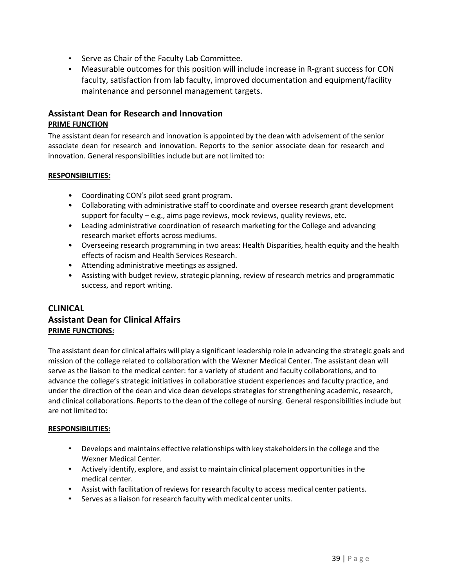- Serve as Chair of the Faculty Lab Committee.
- Measurable outcomes for this position will include increase in R-grant success for CON faculty, satisfaction from lab faculty, improved documentation and equipment/facility maintenance and personnel management targets.

#### <span id="page-38-0"></span>**Assistant Dean for Research and Innovation PRIME FUNCTION**

The assistant dean for research and innovation is appointed by the dean with advisement of the senior associate dean for research and innovation. Reports to the senior associate dean for research and innovation. General responsibilities include but are not limited to:

#### **RESPONSIBILITIES:**

- Coordinating CON's pilot seed grant program.
- Collaborating with administrative staff to coordinate and oversee research grant development support for faculty – e.g., aims page reviews, mock reviews, quality reviews, etc.
- Leading administrative coordination of research marketing for the College and advancing research market efforts across mediums.
- Overseeing research programming in two areas: Health Disparities, health equity and the health effects of racism and Health Services Research.
- Attending administrative meetings as assigned.
- Assisting with budget review, strategic planning, review of research metrics and programmatic success, and report writing.

## <span id="page-38-2"></span><span id="page-38-1"></span>**CLINICAL Assistant Dean for Clinical Affairs PRIME FUNCTIONS:**

The assistant dean for clinical affairs will play a significant leadership role in advancing the strategic goals and mission of the college related to collaboration with the Wexner Medical Center. The assistant dean will serve as the liaison to the medical center: for a variety of student and faculty collaborations, and to advance the college's strategic initiatives in collaborative student experiences and faculty practice, and under the direction of the dean and vice dean develops strategies for strengthening academic, research, and clinical collaborations. Reports to the dean of the college of nursing. General responsibilitiesinclude but are not limited to:

- Develops and maintains effective relationships with key stakeholdersin the college and the Wexner Medical Center.
- Actively identify, explore, and assist to maintain clinical placement opportunities in the medical center.
- Assist with facilitation of reviews for research faculty to access medical center patients.
- Serves as a liaison for research faculty with medical center units.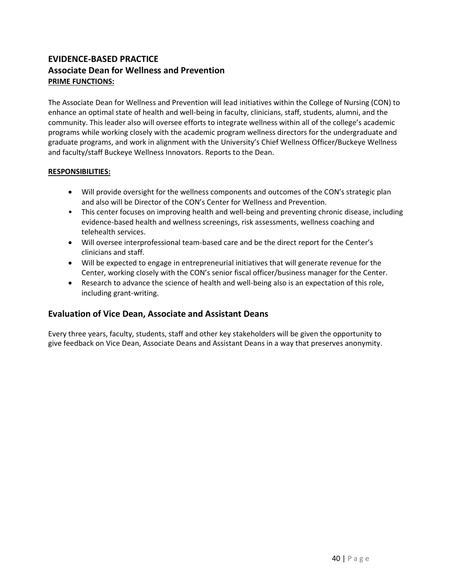## <span id="page-39-1"></span><span id="page-39-0"></span>**EVIDENCE-BASED PRACTICE Associate Dean for Wellness and Prevention PRIME FUNCTIONS:**

The Associate Dean for Wellness and Prevention will lead initiatives within the College of Nursing (CON) to enhance an optimal state of health and well-being in faculty, clinicians, staff, students, alumni, and the community. This leader also will oversee efforts to integrate wellness within all of the college's academic programs while working closely with the academic program wellness directors for the undergraduate and graduate programs, and work in alignment with the University's Chief Wellness Officer/Buckeye Wellness and faculty/staff Buckeye Wellness Innovators. Reports to the Dean.

#### **RESPONSIBILITIES:**

- Will provide oversight for the wellness components and outcomes of the CON's strategic plan and also will be Director of the CON's Center for Wellness and Prevention.
- This center focuses on improving health and well-being and preventing chronic disease, including evidence-based health and wellness screenings, risk assessments, wellness coaching and telehealth services.
- Will oversee interprofessional team-based care and be the direct report for the Center's clinicians and staff.
- Will be expected to engage in entrepreneurial initiatives that will generate revenue for the Center, working closely with the CON's senior fiscal officer/business manager for the Center.
- Research to advance the science of health and well-being also is an expectation of this role, including grant-writing.

#### <span id="page-39-2"></span>**Evaluation of Vice Dean, Associate and Assistant Deans**

Every three years, faculty, students, staff and other key stakeholders will be given the opportunity to give feedback on Vice Dean, Associate Deans and Assistant Deans in a way that preserves anonymity.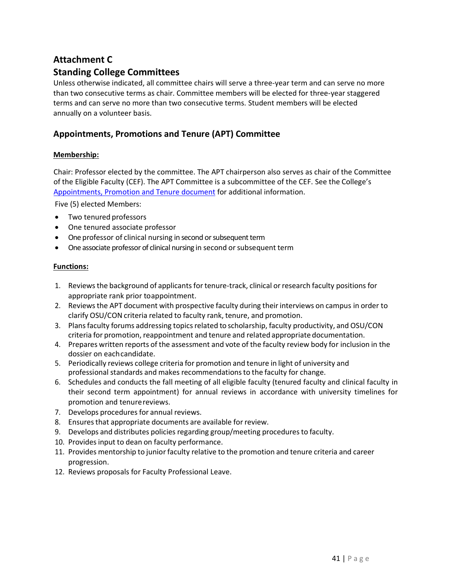## <span id="page-40-1"></span><span id="page-40-0"></span>**Attachment C Standing College Committees**

Unless otherwise indicated, all committee chairs will serve a three-year term and can serve no more than two consecutive terms as chair. Committee members will be elected for three-year staggered terms and can serve no more than two consecutive terms. Student members will be elected annually on a volunteer basis.

## <span id="page-40-2"></span>**Appointments, Promotions and Tenure (APT) Committee**

#### **Membership:**

Chair: Professor elected by the committee. The APT chairperson also serves as chair of the Committee of the Eligible Faculty (CEF). The APT Committee is a subcommittee of the CEF. See the College's [Appointments, Promotion and Tenure](https://oaa.osu.edu/appointments-reappointments-promotion-and-tenure) document for additional information.

Five (5) elected Members:

- Two tenured professors
- One tenured associate professor
- One professor of clinical nursing in second or subsequent term
- One associate professor of clinical nursing in second or subsequent term

- 1. Reviewsthe background of applicantsfor tenure-track, clinical orresearch faculty positions for appropriate rank prior toappointment.
- 2. Reviewsthe APT document with prospective faculty during their interviews on campus in order to clarify OSU/CON criteria related to faculty rank, tenure, and promotion.
- 3. Plans faculty forums addressing topics related to scholarship, faculty productivity, and OSU/CON criteria for promotion, reappointment and tenure and related appropriate documentation.
- 4. Prepares written reports of the assessment and vote of the faculty review body for inclusion in the dossier on eachcandidate.
- 5. Periodically reviews college criteria for promotion and tenure in light of university and professional standards and makes recommendationsto the faculty for change.
- 6. Schedules and conducts the fall meeting of all eligible faculty (tenured faculty and clinical faculty in their second term appointment) for annual reviews in accordance with university timelines for promotion and tenurereviews.
- 7. Develops procedures for annual reviews.
- 8. Ensures that appropriate documents are available for review.
- 9. Develops and distributes policies regarding group/meeting proceduresto faculty.
- 10. Provides input to dean on faculty performance.
- 11. Provides mentorship to junior faculty relative to the promotion and tenure criteria and career progression.
- 12. Reviews proposals for Faculty Professional Leave.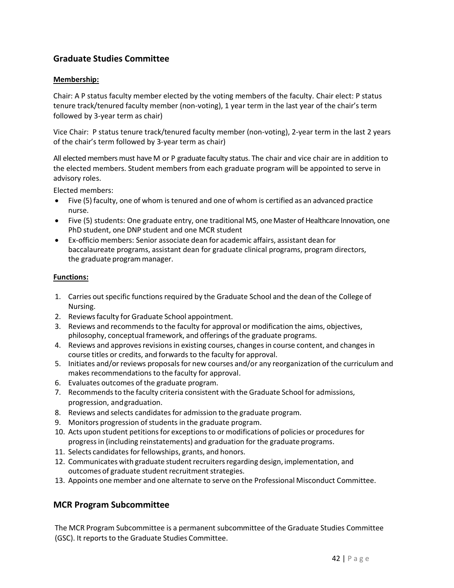## <span id="page-41-0"></span>**Graduate Studies Committee**

#### **Membership:**

Chair: A P status faculty member elected by the voting members of the faculty. Chair elect: P status tenure track/tenured faculty member (non-voting), 1 year term in the last year of the chair's term followed by 3-year term as chair)

Vice Chair: P status tenure track/tenured faculty member (non-voting), 2-year term in the last 2 years of the chair's term followed by 3-year term as chair)

All elected members must have M or P graduate faculty status. The chair and vice chair are in addition to the elected members. Student members from each graduate program will be appointed to serve in advisory roles.

Elected members:

- Five (5) faculty, one of whom is tenured and one of whom is certified as an advanced practice nurse.
- Five (5) students: One graduate entry, one traditional MS, one Master of Healthcare Innovation, one PhD student, one DNP student and one MCR student
- Ex-officio members: Senior associate dean for academic affairs, assistant dean for baccalaureate programs, assistant dean for graduate clinical programs, program directors, the graduate programmanager.

#### **Functions:**

- 1. Carries out specific functions required by the Graduate School and the dean of the College of Nursing.
- 2. Reviewsfaculty for Graduate School appointment.
- 3. Reviews and recommendsto the faculty for approval or modification the aims, objectives, philosophy, conceptual framework, and offerings of the graduate programs.
- 4. Reviews and approves revisions in existing courses, changes in course content, and changes in course titles or credits, and forwards to the faculty for approval.
- 5. Initiates and/or reviews proposals for new courses and/or any reorganization of the curriculum and makes recommendations to the faculty for approval.
- 6. Evaluates outcomes of the graduate program.
- 7. Recommends to the faculty criteria consistent with the Graduate School for admissions, progression, andgraduation.
- 8. Reviews and selects candidates for admission to the graduate program.
- 9. Monitors progression of students in the graduate program.
- 10. Acts upon student petitions for exceptions to or modifications of policies or procedures for progressin (including reinstatements) and graduation for the graduate programs.
- 11. Selects candidates for fellowships, grants, and honors.
- 12. Communicates with graduate student recruiters regarding design, implementation, and outcomes of graduate student recruitment strategies.
- 13. Appoints one member and one alternate to serve on the Professional Misconduct Committee.

#### <span id="page-41-1"></span>**MCR Program Subcommittee**

The MCR Program Subcommittee is a permanent subcommittee of the Graduate Studies Committee (GSC). It reports to the Graduate Studies Committee.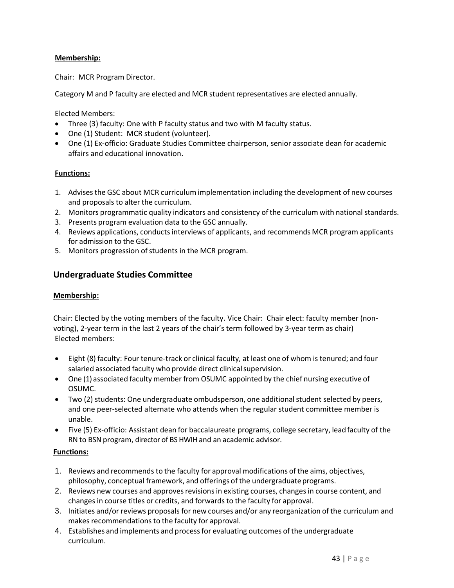#### **Membership:**

Chair: MCR Program Director.

Category M and P faculty are elected and MCR student representatives are elected annually.

Elected Members:

- Three (3) faculty: One with P faculty status and two with M faculty status.
- One (1) Student: MCR student (volunteer).
- One (1) Ex-officio: Graduate Studies Committee chairperson, senior associate dean for academic affairs and educational innovation.

#### **Functions:**

- 1. Advises the GSC about MCR curriculum implementation including the development of new courses and proposals to alter the curriculum.
- 2. Monitors programmatic quality indicators and consistency of the curriculum with national standards.
- 3. Presents program evaluation data to the GSC annually.
- 4. Reviews applications, conductsinterviews of applicants, and recommends MCR program applicants for admission to the GSC.
- 5. Monitors progression of students in the MCR program.

#### <span id="page-42-0"></span>**Undergraduate Studies Committee**

#### **Membership:**

Chair: Elected by the voting members of the faculty. Vice Chair: Chair elect: faculty member (nonvoting), 2-year term in the last 2 years of the chair's term followed by 3-year term as chair) Elected members:

- Eight (8) faculty: Four tenure-track or clinical faculty, at least one of whom is tenured; and four salaried associated faculty who provide direct clinical supervision.
- One (1) associated faculty member from OSUMC appointed by the chief nursing executive of OSUMC.
- Two (2) students: One undergraduate ombudsperson, one additional student selected by peers, and one peer-selected alternate who attends when the regular student committee member is unable.
- Five (5) Ex-officio: Assistant dean for baccalaureate programs, college secretary, lead faculty of the RN to BSN program, director of BSHWIHand an academic advisor.

- 1. Reviews and recommends to the faculty for approval modifications of the aims, objectives, philosophy, conceptual framework, and offerings of the undergraduate programs.
- 2. Reviews new courses and approves revisions in existing courses, changes in course content, and changes in course titles or credits, and forwards to the faculty for approval.
- 3. Initiates and/or reviews proposals for new courses and/or any reorganization of the curriculum and makes recommendations to the faculty for approval.
- 4. Establishes and implements and processfor evaluating outcomes of the undergraduate curriculum.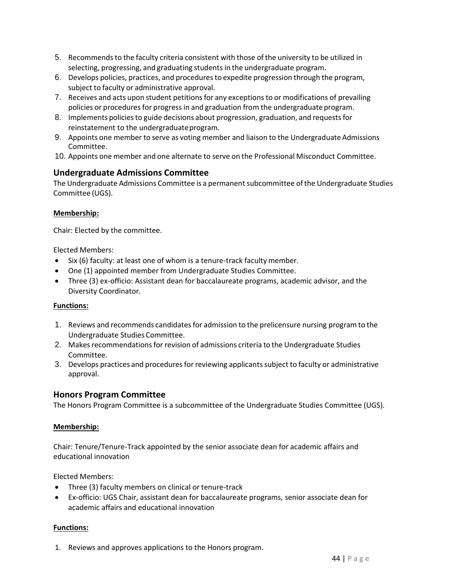- 5. Recommendsto the faculty criteria consistent with those of the university to be utilized in selecting, progressing, and graduating students in the undergraduate program.
- 6. Develops policies, practices, and proceduresto expedite progression through the program, subject to faculty or administrative approval.
- 7. Receives and acts upon student petitions for any exceptions to or modifications of prevailing policies or procedures for progress in and graduation from the undergraduate program.
- 8. Implements policiesto guide decisions about progression, graduation, and requestsfor reinstatement to the undergraduateprogram.
- 9. Appoints one member to serve as voting member and liaison to the Undergraduate Admissions Committee.
- 10. Appoints one member and one alternate to serve on the Professional Misconduct Committee.

#### <span id="page-43-0"></span>**Undergraduate Admissions Committee**

The Undergraduate Admissions Committee is a permanent subcommittee of the Undergraduate Studies Committee (UGS).

#### **Membership:**

Chair: Elected by the committee.

Elected Members:

- Six (6) faculty: at least one of whom is a tenure-track faculty member.
- One (1) appointed member from Undergraduate Studies Committee.
- Three (3) ex-officio: Assistant dean for baccalaureate programs, academic advisor, and the Diversity Coordinator.

#### **Functions:**

- 1. Reviews and recommends candidates for admission to the prelicensure nursing program to the Undergraduate Studies Committee.
- 2. Makes recommendations for revision of admissions criteria to the Undergraduate Studies Committee.
- 3. Develops practices and proceduresfor reviewing applicantssubject to faculty or administrative approval.

#### <span id="page-43-1"></span>**Honors Program Committee**

The Honors Program Committee is a subcommittee of the Undergraduate Studies Committee (UGS).

#### **Membership:**

Chair: Tenure/Tenure-Track appointed by the senior associate dean for academic affairs and educational innovation

Elected Members:

- Three (3) faculty members on clinical or tenure-track
- Ex-officio: UGS Chair, assistant dean for baccalaureate programs, senior associate dean for academic affairs and educational innovation

#### **Functions:**

1. Reviews and approves applications to the Honors program.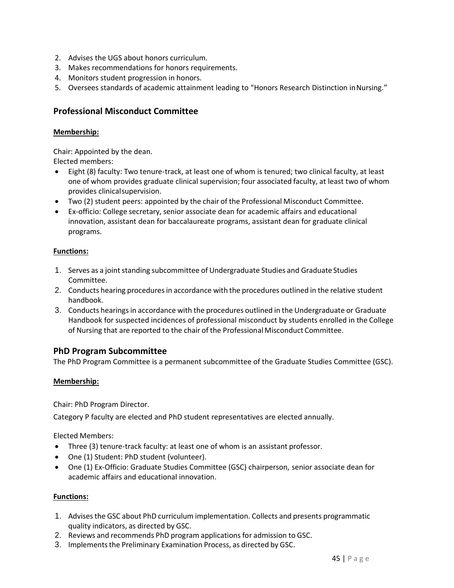- 2. Advises the UGS about honors curriculum.
- 3. Makes recommendations for honors requirements.
- 4. Monitors student progression in honors.
- 5. Oversees standards of academic attainment leading to "Honors Research Distinction inNursing."

#### <span id="page-44-0"></span>**Professional Misconduct Committee**

#### **Membership:**

Chair: Appointed by the dean. Elected members:

- Eight (8) faculty: Two tenure-track, at least one of whom is tenured; two clinical faculty, at least one of whom provides graduate clinical supervision; four associated faculty, at least two of whom provides clinicalsupervision.
- Two (2) student peers: appointed by the chair of the Professional Misconduct Committee.
- Ex-officio: College secretary, senior associate dean for academic affairs and educational innovation, assistant dean for baccalaureate programs, assistant dean for graduate clinical programs.

#### **Functions:**

- 1. Serves as a joint standing subcommittee of Undergraduate Studies and Graduate Studies Committee.
- 2. Conducts hearing procedures in accordance with the procedures outlined in the relative student handbook.
- 3. Conducts hearings in accordance with the procedures outlined in the Undergraduate or Graduate Handbook for suspected incidences of professional misconduct by students enrolled in the College of Nursing that are reported to the chair of the Professional Misconduct Committee.

#### <span id="page-44-1"></span>**PhD Program Subcommittee**

The PhD Program Committee is a permanent subcommittee of the Graduate Studies Committee (GSC).

#### **Membership:**

Chair: PhD Program Director.

Category P faculty are elected and PhD student representatives are elected annually.

Elected Members:

- Three (3) tenure-track faculty: at least one of whom is an assistant professor.
- One (1) Student: PhD student (volunteer).
- One (1) Ex-Officio: Graduate Studies Committee (GSC) chairperson, senior associate dean for academic affairs and educational innovation.

- 1. Advisesthe GSC about PhD curriculum implementation. Collects and presents programmatic quality indicators, as directed by GSC.
- 2. Reviews and recommends PhD program applications for admission to GSC.
- 3. Implementsthe Preliminary Examination Process, as directed by GSC.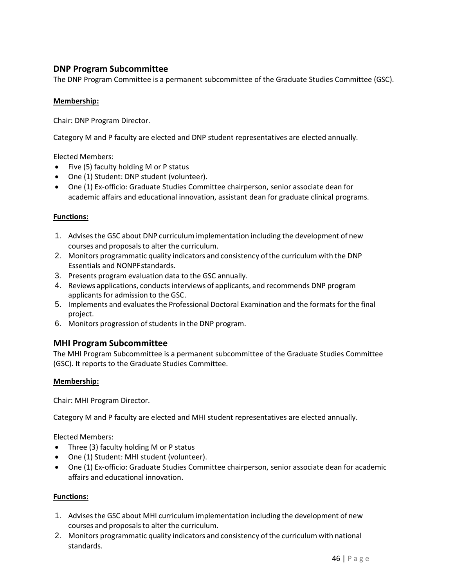## <span id="page-45-0"></span>**DNP Program Subcommittee**

The DNP Program Committee is a permanent subcommittee of the Graduate Studies Committee (GSC).

#### **Membership:**

Chair: DNP Program Director.

Category M and P faculty are elected and DNP student representatives are elected annually.

Elected Members:

- Five (5) faculty holding M or P status
- One (1) Student: DNP student (volunteer).
- One (1) Ex-officio: Graduate Studies Committee chairperson, senior associate dean for academic affairs and educational innovation, assistant dean for graduate clinical programs.

#### **Functions:**

- 1. Advisesthe GSC about DNP curriculum implementation including the development of new courses and proposals to alter the curriculum.
- 2. Monitors programmatic quality indicators and consistency ofthe curriculum with the DNP Essentials and NONPFstandards.
- 3. Presents program evaluation data to the GSC annually.
- 4. Reviews applications, conducts interviews of applicants, and recommends DNP program applicants for admission to the GSC.
- 5. Implements and evaluatesthe Professional Doctoral Examination and the formats for the final project.
- 6. Monitors progression of students in the DNP program.

#### <span id="page-45-1"></span>**MHI Program Subcommittee**

The MHI Program Subcommittee is a permanent subcommittee of the Graduate Studies Committee (GSC). It reports to the Graduate Studies Committee.

#### **Membership:**

Chair: MHI Program Director.

Category M and P faculty are elected and MHI student representatives are elected annually.

Elected Members:

- Three (3) faculty holding M or P status
- One (1) Student: MHI student (volunteer).
- One (1) Ex-officio: Graduate Studies Committee chairperson, senior associate dean for academic affairs and educational innovation.

- 1. Advisesthe GSC about MHI curriculum implementation including the development of new courses and proposals to alter the curriculum.
- 2. Monitors programmatic quality indicators and consistency of the curriculum with national standards.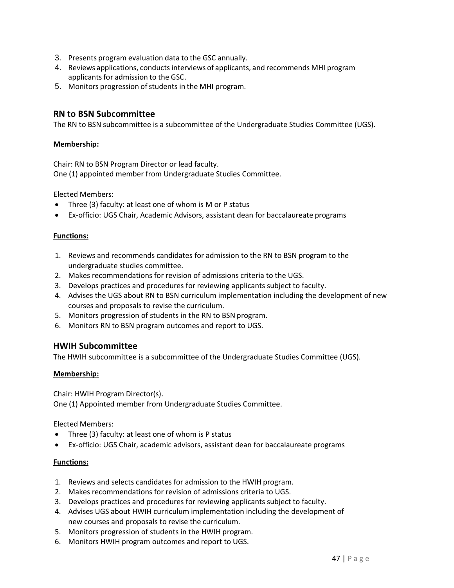- 3. Presents program evaluation data to the GSC annually.
- 4. Reviews applications, conductsinterviews of applicants, and recommends MHI program applicants for admission to the GSC.
- 5. Monitors progression of students in the MHI program.

#### <span id="page-46-0"></span>**RN to BSN Subcommittee**

The RN to BSN subcommittee is a subcommittee of the Undergraduate Studies Committee (UGS).

#### **Membership:**

Chair: RN to BSN Program Director or lead faculty. One (1) appointed member from Undergraduate Studies Committee.

Elected Members:

- Three (3) faculty: at least one of whom is M or P status
- Ex-officio: UGS Chair, Academic Advisors, assistant dean for baccalaureate programs

#### **Functions:**

- 1. Reviews and recommends candidates for admission to the RN to BSN program to the undergraduate studies committee.
- 2. Makes recommendations for revision of admissions criteria to the UGS.
- 3. Develops practices and procedures for reviewing applicants subject to faculty.
- 4. Advises the UGS about RN to BSN curriculum implementation including the development of new courses and proposals to revise the curriculum.
- 5. Monitors progression of students in the RN to BSN program.
- 6. Monitors RN to BSN program outcomes and report to UGS.

#### <span id="page-46-1"></span>**HWIH Subcommittee**

The HWIH subcommittee is a subcommittee of the Undergraduate Studies Committee (UGS).

#### **Membership:**

Chair: HWIH Program Director(s). One (1) Appointed member from Undergraduate Studies Committee.

Elected Members:

- Three (3) faculty: at least one of whom is P status
- Ex-officio: UGS Chair, academic advisors, assistant dean for baccalaureate programs

- 1. Reviews and selects candidates for admission to the HWIH program.
- 2. Makes recommendations for revision of admissions criteria to UGS.
- 3. Develops practices and procedures for reviewing applicants subject to faculty.
- 4. Advises UGS about HWIH curriculum implementation including the development of new courses and proposals to revise the curriculum.
- 5. Monitors progression of students in the HWIH program.
- 6. Monitors HWIH program outcomes and report to UGS.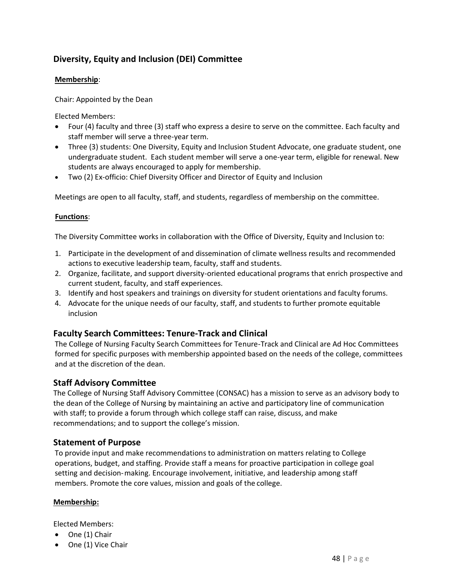## <span id="page-47-0"></span>**Diversity, Equity and Inclusion (DEI) Committee**

#### **Membership**:

Chair: Appointed by the Dean

Elected Members:

- Four (4) faculty and three (3) staff who express a desire to serve on the committee. Each faculty and staff member will serve a three-year term.
- Three (3) students: One Diversity, Equity and Inclusion Student Advocate, one graduate student, one undergraduate student. Each student member will serve a one-year term, eligible for renewal. New students are always encouraged to apply for membership.
- Two (2) Ex-officio: Chief Diversity Officer and Director of Equity and Inclusion

Meetings are open to all faculty, staff, and students, regardless of membership on the committee.

#### **Functions**:

The Diversity Committee works in collaboration with the Office of Diversity, Equity and Inclusion to:

- 1. Participate in the development of and dissemination of climate wellness results and recommended actions to executive leadership team, faculty, staff and students.
- 2. Organize, facilitate, and support diversity-oriented educational programs that enrich prospective and current student, faculty, and staff experiences.
- 3. Identify and host speakers and trainings on diversity for student orientations and faculty forums.
- 4. Advocate for the unique needs of our faculty, staff, and students to further promote equitable inclusion

#### <span id="page-47-1"></span>**Faculty Search Committees: Tenure-Track and Clinical**

The College of Nursing Faculty Search Committees for Tenure-Track and Clinical are Ad Hoc Committees formed for specific purposes with membership appointed based on the needs of the college, committees and at the discretion of the dean.

#### <span id="page-47-2"></span>**Staff Advisory Committee**

The College of Nursing Staff Advisory Committee (CONSAC) has a mission to serve as an advisory body to the dean of the College of Nursing by maintaining an active and participatory line of communication with staff; to provide a forum through which college staff can raise, discuss, and make recommendations; and to support the college's mission.

#### <span id="page-47-3"></span>**Statement of Purpose**

To provide input and make recommendations to administration on matters relating to College operations, budget, and staffing. Provide staff a means for proactive participation in college goal setting and decision-making. Encourage involvement, initiative, and leadership among staff members. Promote the core values, mission and goals of the college.

#### **Membership:**

Elected Members:

- One (1) Chair
- One (1) Vice Chair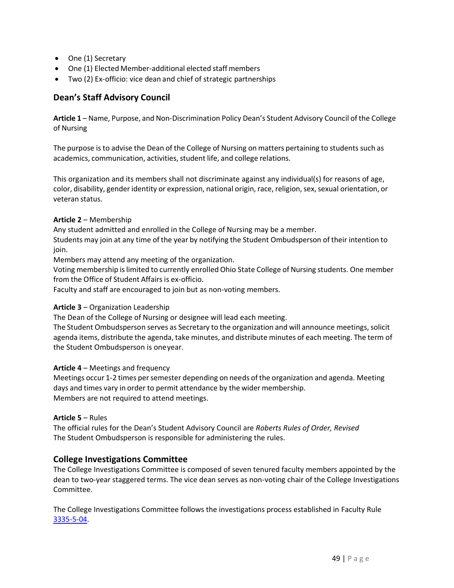- One (1) Secretary
- One (1) Elected Member-additional elected staff members
- Two (2) Ex-officio: vice dean and chief of strategic partnerships

## <span id="page-48-0"></span>**Dean's Staff Advisory Council**

**Article 1** – Name, Purpose, and Non-Discrimination Policy Dean's Student Advisory Council of the College of Nursing

The purpose is to advise the Dean of the College of Nursing on matters pertaining to students such as academics, communication, activities, student life, and college relations.

This organization and its members shall not discriminate against any individual(s) for reasons of age, color, disability, gender identity or expression, national origin, race, religion, sex, sexual orientation, or veteran status.

#### **Article 2** – Membership

Any student admitted and enrolled in the College of Nursing may be a member.

Students may join at any time of the year by notifying the Student Ombudsperson of their intention to join.

Members may attend any meeting of the organization.

Voting membership islimited to currently enrolled Ohio State College of Nursing students. One member from the Office of Student Affairs is ex-officio.

Faculty and staff are encouraged to join but as non-voting members.

#### **Article 3** – Organization Leadership

The Dean of the College of Nursing or designee will lead each meeting.

The Student Ombudsperson serves as Secretary to the organization and will announce meetings, solicit agenda items, distribute the agenda, take minutes, and distribute minutes of each meeting. The term of the Student Ombudsperson is oneyear.

#### **Article 4** – Meetings and frequency

Meetings occur 1-2 times persemester depending on needs of the organization and agenda. Meeting days and times vary in order to permit attendance by the wider membership. Members are not required to attend meetings.

#### **Article 5** – Rules

The official rules for the Dean's Student Advisory Council are *Roberts Rules of Order, Revised* The Student Ombudsperson is responsible for administering the rules.

#### <span id="page-48-1"></span>**College Investigations Committee**

The College Investigations Committee is composed of seven tenured faculty members appointed by the dean to two-year staggered terms. The vice dean serves as non-voting chair of the College Investigations Committee.

The College Investigations Committee follows the investigations process established in Faculty Rule [3335-5-04.](https://trustees.osu.edu/rules/university-rules/chapter-3335-5-faculty-governance-and-committees.html)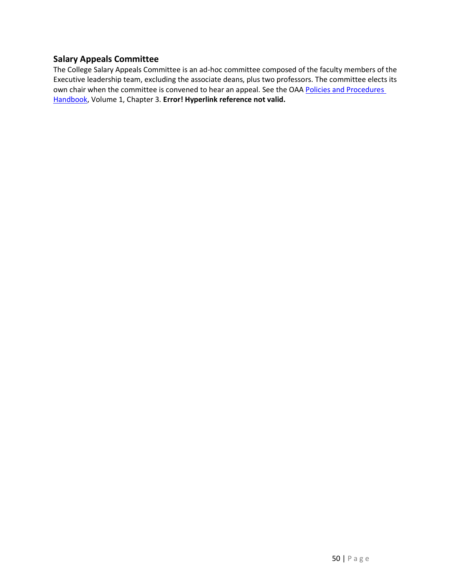## <span id="page-49-0"></span>**Salary Appeals Committee**

The College Salary Appeals Committee is an ad-hoc committee composed of the faculty members of the Executive leadership team, excluding the associate deans, plus two professors. The committee elects its own chair when the committee is convened to hear an appeal. See the OAA Policies and Procedures [Handbook,](https://oaa.osu.edu/policies-and-procedures-handbook) Volume 1, Chapter 3. **Error! Hyperlink reference not valid.**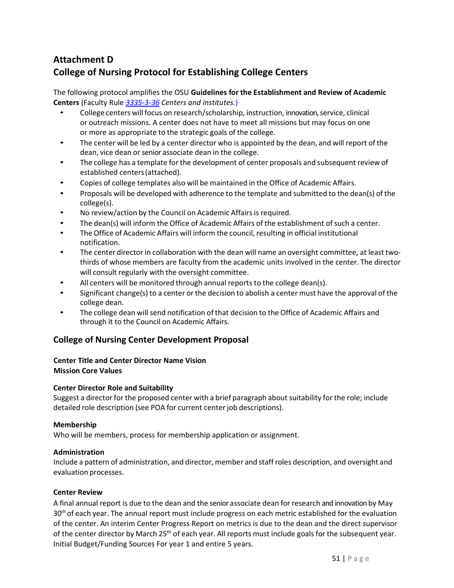## <span id="page-50-1"></span><span id="page-50-0"></span>**Attachment D College of Nursing Protocol for Establishing College Centers**

The following protocol amplifies the OSU **Guidelines for the Establishment and Review of Academic Centers** (Faculty Rule *[3335-3-36](https://trustees.osu.edu/bylaws-and-rules/3335-3) Centers and institutes.*)

- College centers will focus on research/scholarship, instruction, innovation, service, clinical or outreach missions. A center does not have to meet all missions but may focus on one or more as appropriate to the strategic goals of the college.
- The center will be led by a center director who is appointed by the dean, and will report of the dean, vice dean or senior associate dean in the college.
- The college has a template for the development of center proposals and subsequent review of established centers(attached).
- Copies of college templates also will be maintained in the Office of Academic Affairs.
- Proposals will be developed with adherence to the template and submitted to the dean(s) of the college(s).
- No review/action by the Council on Academic Affairs is required.
- The dean(s) will inform the Office of Academic Affairs of the establishment of such a center.
- The Office of Academic Affairs will inform the council, resulting in official institutional notification.
- The center director in collaboration with the dean will name an oversight committee, at least twothirds of whose members are faculty from the academic units involved in the center. The director will consult regularly with the oversight committee.
- All centers will be monitored through annual reports to the college dean(s).
- Significant change(s) to a center or the decision to abolish a center must have the approval of the college dean.
- The college dean will send notification of that decision to the Office of Academic Affairs and through it to the Council on Academic Affairs.

#### <span id="page-50-2"></span>**College of Nursing Center Development Proposal**

#### **Center Title and Center Director Name Vision Mission Core Values**

#### **Center Director Role and Suitability**

Suggest a director for the proposed center with a brief paragraph about suitability for the role; include detailed role description (see POA for current center job descriptions).

#### **Membership**

Who will be members, process for membership application or assignment.

#### **Administration**

Include a pattern of administration, and director, member and staff roles description, and oversight and evaluation processes.

#### **Center Review**

A final annual report is due to the dean and the senior associate dean for research and innovation by May 30<sup>th</sup> of each year. The annual report must include progress on each metric established for the evaluation of the center. An interim Center Progress Report on metrics is due to the dean and the direct supervisor of the center director by March 25<sup>th</sup> of each year. All reports must include goals for the subsequent year. Initial Budget/Funding Sources For year 1 and entire 5 years.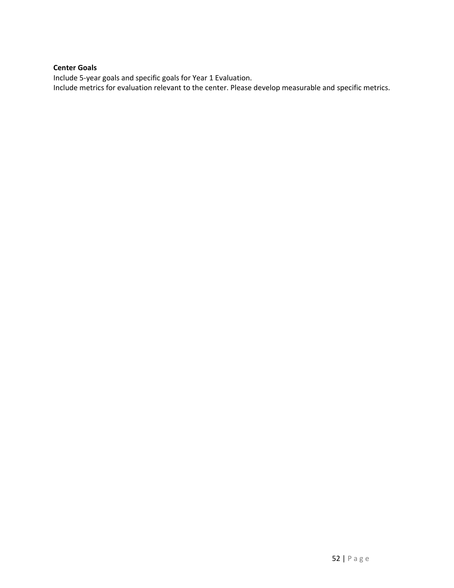#### **Center Goals**

Include 5-year goals and specific goals for Year 1 Evaluation. Include metrics for evaluation relevant to the center. Please develop measurable and specific metrics.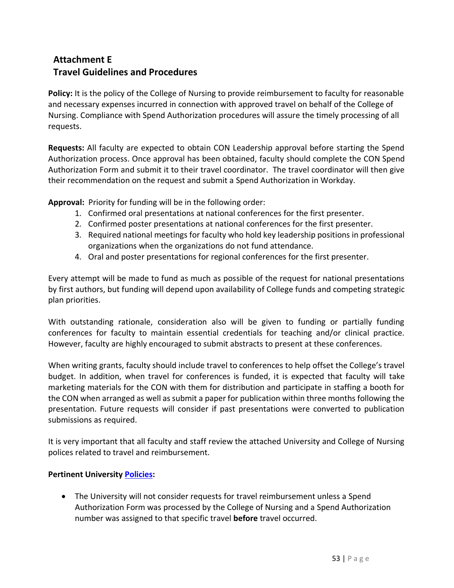## <span id="page-52-1"></span><span id="page-52-0"></span>**Attachment E Travel Guidelines and Procedures**

Policy: It is the policy of the College of Nursing to provide reimbursement to faculty for reasonable and necessary expenses incurred in connection with approved travel on behalf of the College of Nursing. Compliance with Spend Authorization procedures will assure the timely processing of all requests.

**Requests:** All faculty are expected to obtain CON Leadership approval before starting the Spend Authorization process. Once approval has been obtained, faculty should complete the CON Spend Authorization Form and submit it to their travel coordinator. The travel coordinator will then give their recommendation on the request and submit a Spend Authorization in Workday.

**Approval:** Priority for funding will be in the following order:

- 1. Confirmed oral presentations at national conferences for the first presenter.
- 2. Confirmed poster presentations at national conferences for the first presenter.
- 3. Required national meetings for faculty who hold key leadership positions in professional organizations when the organizations do not fund attendance.
- 4. Oral and poster presentations for regional conferences for the first presenter.

Every attempt will be made to fund as much as possible of the request for national presentations by first authors, but funding will depend upon availability of College funds and competing strategic plan priorities.

With outstanding rationale, consideration also will be given to funding or partially funding conferences for faculty to maintain essential credentials for teaching and/or clinical practice. However, faculty are highly encouraged to submit abstracts to present at these conferences.

When writing grants, faculty should include travel to conferences to help offset the College's travel budget. In addition, when travel for conferences is funded, it is expected that faculty will take marketing materials for the CON with them for distribution and participate in staffing a booth for the CON when arranged as well as submit a paper for publication within three months following the presentation. Future requests will consider if past presentations were converted to publication submissions as required.

It is very important that all faculty and staff review the attached University and College of Nursing polices related to travel and reimbursement.

#### **Pertinent University [Policies:](https://busfin.osu.edu/buy-schedule-travel/travel)**

• The University will not consider requests for travel reimbursement unless a Spend Authorization Form was processed by the College of Nursing and a Spend Authorization number was assigned to that specific travel **before** travel occurred.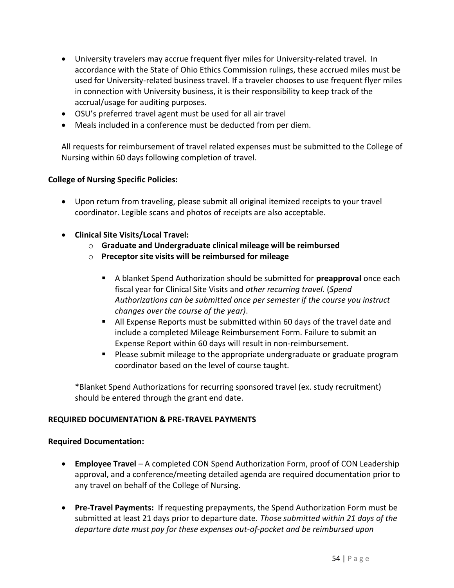- University travelers may accrue frequent flyer miles for University-related travel. In accordance with the State of Ohio Ethics Commission rulings, these accrued miles must be used for University-related business travel. If a traveler chooses to use frequent flyer miles in connection with University business, it is their responsibility to keep track of the accrual/usage for auditing purposes.
- OSU's preferred travel agent must be used for all air travel
- Meals included in a conference must be deducted from per diem.

All requests for reimbursement of travel related expenses must be submitted to the College of Nursing within 60 days following completion of travel.

#### **College of Nursing Specific Policies:**

- Upon return from traveling, please submit all original itemized receipts to your travel coordinator. Legible scans and photos of receipts are also acceptable.
- **Clinical Site Visits/Local Travel:**
	- o **Graduate and Undergraduate clinical mileage will be reimbursed**
	- o **Preceptor site visits will be reimbursed for mileage**
		- A blanket Spend Authorization should be submitted for **preapproval** once each fiscal year for Clinical Site Visits and *other recurring travel.* (*Spend Authorizations can be submitted once per semester if the course you instruct changes over the course of the year)*.
		- All Expense Reports must be submitted within 60 days of the travel date and include a completed Mileage Reimbursement Form. Failure to submit an Expense Report within 60 days will result in non-reimbursement.
		- Please submit mileage to the appropriate undergraduate or graduate program coordinator based on the level of course taught.

\*Blanket Spend Authorizations for recurring sponsored travel (ex. study recruitment) should be entered through the grant end date.

#### **REQUIRED DOCUMENTATION & PRE-TRAVEL PAYMENTS**

#### **Required Documentation:**

- **Employee Travel**  A completed CON Spend Authorization Form, proof of CON Leadership approval, and a conference/meeting detailed agenda are required documentation prior to any travel on behalf of the College of Nursing.
- **Pre-Travel Payments:** If requesting prepayments, the Spend Authorization Form must be submitted at least 21 days prior to departure date. *Those submitted within 21 days of the departure date must pay for these expenses out-of-pocket and be reimbursed upon*